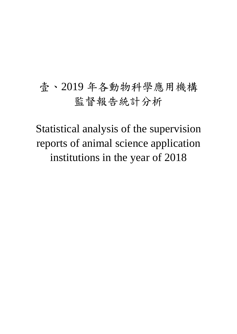# 壹、2019 年各動物科學應用機構 監督報告統計分析

Statistical analysis of the supervision reports of animal science application institutions in the year of 2018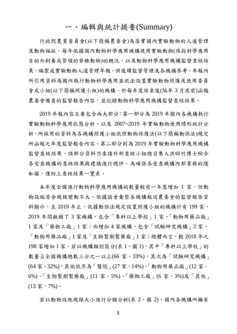### 一、編輯與統計摘要(Summary)

行政院農業委員會(以下簡稱農委會)為落實國內實驗動物的人道管理 及動物福祉,每年依據國內動物科學應用機構使用實驗動物(係指科學應用 目的而飼養或管領的脊椎動物)的概況,以及動物科學應用機構監督查核結 果,編製成實驗動物人道管理年報,供後續監督管理及各機構參考。年報內 所引用資料為國內執行動物科學應用並依法設置實驗動物照護及使用委員 會或小組(以下簡稱照護小組)的機構,於每年度結束後(隔年 3 月底前)函報 農委會備查的監督報告內容,並記錄動物科學應用機構監督查核結果。

2019 年報內容主要包含兩大部分:第一部分為 2019 年國內各機構執行 實驗動物科學應用狀態分析,以及 2007~2019 年實驗動物使用情形統計分 析,所採用的資料為各機構照護小組依照動物保護法(以下簡稱動保法)規定 所函報之年度監督報告內容。第二部分則為 2019 年實驗動物科學應用機構 監督查核結果,該部分資料乃委請外部查核小組總召集人洪昭竹博士綜合 各受查機構的查核結果與建議進行總評,為確保各受查機構內部業務的隱 私權,僅附上查核結果一覽表。

本年度全國進行動物科學應用機構的數量較前一年度增加 1 家, 但動 物設施房舍規模變動不大。依據協會彙整各機構報送農委會的監督報告資 料顯示,至 2019年止,依據動保法規定設置照護小組的機構計有 199 家, 2019年間撤銷了3家機構,包含「專科以上學校」1家、「動物用藥品廠」 1家及「藥物工廠」1家;而增加4家機構,包含「試驗研究機構」2家、 「動物用藥品廠」1 家及「生物製劑製藥廠」1 家;總體而言,較 2018 年之 198 家增加 1 家。若以機構類別區分(表 1、圖 1),其中「專科以上學校」的 數量占全國機構總數三分之一以上(66 家、33%),其次為「試驗研究機構」 (64 家、32%),其他依序為「醫院」(27 家、14%)、「動物用藥品廠」(12 家、 6%)、「生物製劑製藥廠」(11 家、5%)、「藥物工廠」(6 家、3%)及「其他」 (13 家、7%)。

若以動物設施規模大小進行分類分析(表 2、圖 2),國內各機構所擁有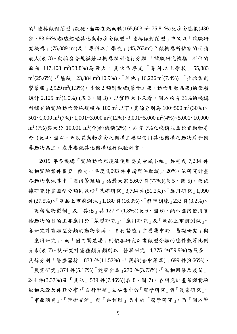的「陸棲類封閉型」設施,無論在總面積(165.603m<sup>2、</sup>75.81%)及房舍總數(430 家、83.66%)都遠超過其他動物房舍類型。「陸棲類封閉型」中又以「試驗研 究機構」(75,089 m<sup>2</sup>)及「專科以上學校」(45,763m<sup>2</sup>) 2 類機構所佔有的面積 最大(表3)。動物房舍規模若以機構類別進行分類,「試驗研究機構」所佔的 面積 117,408 m<sup>2</sup>(53.8%)為最大,其次依序是「專科以上學校」55,883 m<sup>2</sup>(25.6%)、「醫院」23,884 m<sup>2</sup>(10.9%)、「其他」16,226 m<sup>2</sup>(7.4%),「生物製劑 製藥廠」2,929 m<sup>2</sup>(1.3%),其餘2類別機構(藥物工廠、動物用藥品廠)的面積 總計 2,125 m<sup>2</sup>(1.0%) (表 3、圖 3)。以實際大小來看,國內約有 31%的機構 所擁有的實驗動物設施規模在  $100 \text{ m}^2$ 以下,其餘分別為  $100$ ~500 $\text{ m}^2$ (30%)、  $501~1,000~\text{m}^2$  (7%) \ 1,001~3,000 m<sup>2</sup> (12%) \ 3,001~5,000 m<sup>2</sup> (4%) \ 5,001~10,000 m<sup>2</sup> (7%)與大於 10,001 m<sup>2</sup>(含)的機構(2%),另有 7%之機構並無設置動物房 舍 (表 4、圖 4),未設置動物房舍之機構主要以使用其他機構之動物房舍飼 養動物為主,或是委託其他機構進行試驗計畫。

2019 年各機構「實驗動物照護及使用委員會或小組」共完成 7,234 件 動物實驗案件審查,較前一年度 9,093 件申請案件數減少 20%。依研究計畫 各動物來源其中「國內繁殖場」佔最大宗 5,607 件(77%)(表 5、圖 5), 而依 據研究計畫類型分類則包括「基礎研究」3,704 件(51.2%)、「應用研究」1,990 件(27.5%)、「產品上市前測試」1,180 件(16.3%)、「教學訓練」233 件(3.2%)、 「製藥生物製劑」及「其他」共 127 件(1.8%)(表 6、圖 6),顯示國內使用實 驗動物的目的主要應用於「基礎研究」、「應用研究」及「產品上市前測試」。 各研究計畫類型分類的動物來源,「自行繁殖」主要集中於「基礎研究」與 「應用研究」,而「國內繁殖場」則依各研究計畫類型分類的總件數等比例 分布(表 7)。就研究計畫種類分類則以「醫學研究」4,275 件(59.9%)為最多, 其餘分別「醫療器材」833 件(11.52%)、「藥物(含中藥草)」699 件(9.66%)、 「農業研究」374 件(5.17%)「健康食品」270 件(3.73%)、「動物用藥及疫苗」 244 件(3.37%)及「其他」539 件(7.46%)(表 8、圖 7)。各研究計畫種類實驗 動物來源及件數分布,「自行繁殖」主要集中於「醫學研究」與「農業研究」, 「市面購買」、「學術交流」與「再利用」集中於「醫學研究」,而「國內繁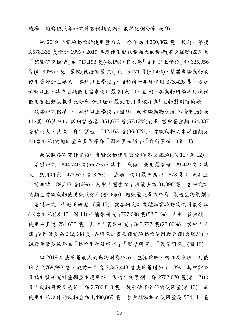殖場」約略依照各研究計畫種類的總件數等比例分布(表 9)。

就 2019年實驗動物的使用量而言,今年為 4,260,862 售,較前一年度 3,578,335 隻增加 19%。2019 年度使用動物量較大的機構(不含胚胎)類別為 「試驗研究機構」的 717,193 隻(48.1%),其次為「專科以上學校」的 625,956 隻(41.99%),及「醫院(包括獸醫院)」的 75,171 隻(5.04%),整體實驗動物的 使用量增加主要為「專科以上學校」,相較前一年度使用 373,426隻,增加 67%以上,其中魚類使用需求使用最多(表 10、圖 8)。各動物科學應用機構 使用實驗動物數量及分布(含胚胎),最大使用量依序為「生物製劑製藥廠」、 「試驗研究機構」、「專科以上學校」(圖 9)。而實驗動物來源(不含胚胎)(表 11、圖 10)其中以「國內繁殖場」851,635 隻(57.12%)最多,當中囓齒類 464,037 隻佔最大,其次「自行繁殖」542,163 隻(36.37%)。實驗動物之來源種類分 布(含胚胎)的總數量最多依序為「國內繁殖場」、「自行繁殖」(圖 11)。

而依照各研究計畫類型實驗動物使用數分類(不含胚胎)(表 12、圖 12), 「基礎研究」844,740隻(56.7%),其中「魚類」使用最多達 129,449隻;其 次「應用研究」477,673 隻(32%),「魚類」使用最多為 291,573 隻;「產品上 市前測試」89,212 隻(6%),其中「囓齒類」用最多為 81,396 隻。各研究計 畫類型實驗動物使用數及分布(含胚胎),總數量最多依序為「製造生物製劑」、 「基礎研究」、「應用研究」(圖 13)。就各研究計畫種類實驗動物使用數分類 (不含胚胎)(表 13、圖 14),「醫學研究」797,698 隻(53.51%),其中「囓齒類」 使用最多達 751,658 隻;其次「農業研究」343,797 隻(23.06%),當中「魚 類使用最多為 282,988 隻。各研究計書種類實驗動物使用數分類(含胚胎), 總數量最多依序為「動物用藥及疫苗」、「醫學研究」、「農業研究」(圖 15)。

以 2019年使用量最大的動物別為胚胎,包括雞胚、鴨胚及魚胚,共使 用了 2,769,993 隻,較前一年度 2,345,448 隻使用量增加了 18%。其中雞胚 及鴨胚就研究計畫類型主應用於「製造生物製劑」為 2702,620 隻(表 12)以 及「動物用藥及疫苗」為 2,706,810隻,幾乎佔了全部的使用量(表 13)。而 使用胚胎以外的動物量為 1,490,869 隻,囓齒類動物之使用量為 954,111 隻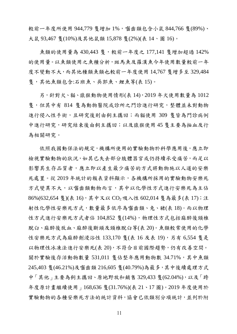較前一年度所使用 944,779 隻增加 1%, 囓齒類包含小鼠 844,766 隻(89%)、 大鼠 93,467 隻(10%)及其他鼠類 15,878 隻(2%)(表 14、圖 16)。

魚類的使用量為 430,443 隻,較前ㄧ年度之 177,141 隻增加超過 142% 的使用量。以魚類使用之魚種分析,斑馬魚及羅漢魚今年使用數量較前一年 度不變動不大,而其他種類魚類也較前一年度使用 14,767 隻增多至 329,484 隻,其他魚類包含:石班魚、吳郭魚、鯉魚等(表 15)。

另,針對犬、貓、猿猴動物使用情形(表 14),2019 年犬使用數量為 1012 隻,但其中有 814 隻為動物醫院或診所之門診進行研究,整體並未對動物 進行侵入性手術,且研究後則由飼主攜回;而貓使用 309 隻皆為門診病例 中進行研究,研究結束後由飼主攜回;以及猿猴使用 45 隻主要為抽血及行 為相關研究。

依照我國動保法的規定,機構所使用的實驗動物於科學應用後,應立即 檢視實驗動物的狀況,如其已失去部分肢體器官或仍持續承受痛苦,而足以 影響其生存品質者,應立即以產生最少痛苦的方式將動物施以人道的安樂 死處置。從 2019年統計的報表資料顯示,各機構所採用的實驗動物安樂死 方式變異不大,以囓齒類動物而言,其中以化學性方式進行安樂死為主佔 86%(632,654 隻)(表 16), 其中又以 CO<sub>2</sub> 吸入性 602,014 隻為最多(表 17); 注 射性化學性安樂死方式,數量最多依序為囓齒類、兔、豬(表 18)。而以物理 性方式進行安樂死方式者佔 104,852 隻(14%), 物理性方式包括麻醉後頸椎 脫臼、麻醉後放血、麻醉後斷頭及頸椎脫臼等(表 20)。魚類較常使用的化學 性安樂死方式為麻醉劑浸浴性 133,170 隻(表 16 及表 19),另有 6,554 隻是 以物理性冰凍法進行安樂死(表 20),不符合目前國際趨勢,仍有改善空間。 關於實驗後存活動物數量 531,011 隻佔整年應用動物數 34.71%,其中魚類 245,403 隻(46.21%)及囓齒類 216,605 隻(40.79%)為最多,其中後續處理方式 中「其他」主要為飼主攜回、原地野放和銷售 329,433 隻(62.04%),以及「跨 年度原計畫繼續使用」168,636 隻(31.76%)(表 21、17 圖)。2019 年度使用於 實驗動物的各種安樂死方法的統計資料,協會已依類別分項統計,並列於附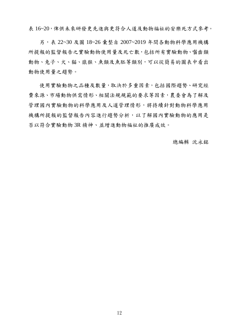表 16~20, 俾供未來研發更先進與更符合人道及動物福祉的安樂死方式參考。

另,表 22~30 及圖 18~26 彙整自 2007~2019 年間各動物科學應用機構 所提報的監督報告之實驗動物使用量及死亡數,包括所有實驗動物、囓齒類 動物、兔子、犬、貓、猿猴、魚類及魚胚等類別,可以從簡易的圖表中看出 動物使用量之趨勢。

使用實驗動物之品種及數量,取決於多重因素,包括國際趨勢、研究經 費來源、市場動物供需情形、相關法規規範的要求等因素,農委會為了解及 管理國內實驗動物的科學應用及人道管理情形,將持續針對動物科學應用 機構所提報的監督報告內容進行趨勢分析,以了解國內實驗動物的應用是 否以符合實驗動物 3R 精神、並增進動物福祉的推廣成效。

總編輯 沈永銘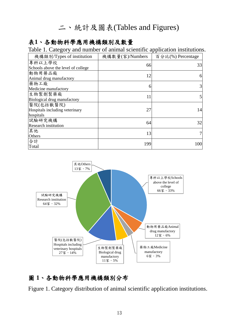# 二、統計及圖表(Tables and Figures)

### 表**1**、各動物科學應用機構類別及數量

### Table 1. Category and number of animal scientific application institutions.

| 機構類別/Types of institution          | 機構數量(家)/Numbers | 百分比(%) Percentage |
|------------------------------------|-----------------|-------------------|
| 專科以上學校                             | 66              | 33                |
| Schools above the level of college |                 |                   |
| 動物用藥品廠                             | 12              | 6                 |
| Animal drug manufactory            |                 |                   |
| 藥物工廠                               | 6               | 3                 |
| Medicine manufactory               |                 |                   |
| 生物製劑製藥廠                            | 11              | 5                 |
| Biological drug manufactory        |                 |                   |
| 醫院(包括獸醫院)                          |                 |                   |
| Hospitals including veterinary     | 27              | 14                |
| hospitals                          |                 |                   |
| 試驗研究機構                             | 64              | 32                |
| <b>Research institution</b>        |                 |                   |
| 其他                                 | 13              |                   |
| Others                             |                 |                   |
| 合計                                 | 199             | 100               |
| Total                              |                 |                   |



### 圖 **1**、各動物科學應用機構類別分布

Figure 1. Category distribution of animal scientific application institutions.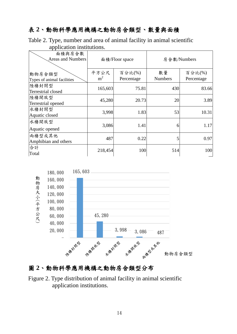### 表 **2**、動物科學應用機構之動物房舍類型、數量與面積

| Table 2. Type, number and area of animal facility in animal scientific |  |  |  |
|------------------------------------------------------------------------|--|--|--|
| application institutions.                                              |  |  |  |

| 面積與房舍數<br><b>Areas and Numbers</b> |                | 面積/Floor space | 房舍數/Numbers    |            |  |  |
|------------------------------------|----------------|----------------|----------------|------------|--|--|
| 動物房舍類型                             | 平方公尺           | 百分比(%)         | 數量             | 百分比(%)     |  |  |
| Types of animal facilities         | m <sup>2</sup> | Percentage     | <b>Numbers</b> | Percentage |  |  |
| 陸棲封閉型<br>Terrestrial closed        | 165,603        | 75.81          | 430            | 83.66      |  |  |
| 陸棲開放型<br>Terrestrial opened        | 45,280         | 20.73          | 20             | 3.89       |  |  |
| 水棲封閉型<br>Aquatic closed            | 3,998          | 1.83           | 53             | 10.31      |  |  |
| 水棲開放型<br>Aquatic opened            | 3,086          | 1.41           | 6              | 1.17       |  |  |
| 兩棲型或其他<br>Amphibian and others     | 487            | 0.22           | 5              | 0.97       |  |  |
| 合計<br>Total                        | 218,454        | 100            | 514            | 100        |  |  |



# 圖 **2**、動物科學應用機構之動物房舍類型分布

Figure 2. Type distribution of animal facility in animal scientific application institutions.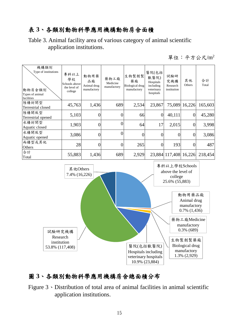# 表 **3**、各類別動物科學應用機構動物房舍面積

Table 3. Animal facility area of various category of animal scientific application institutions.

單位:平方公尺/m<sup>2</sup>



# 圖 **3**、各類別動物科學應用機構房舍總面積分布

Figure 3、Distribution of total area of animal facilities in animal scientific application institutions.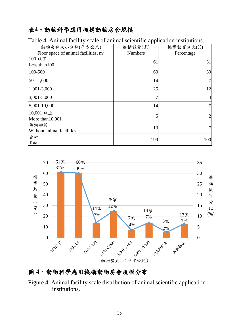# 表**4**、動物科學應用機構動物房舍規模

| 動物房舍大小分類(平方公尺)                         | * *<br>機構數量(家) | 機構數百分比(%)      |
|----------------------------------------|----------------|----------------|
| Floor space of animal facilities, $m2$ | <b>Numbers</b> | Percentage     |
| 100 以下                                 | 61             | 31             |
| Less than 100                          |                |                |
| 100-500                                | 60             | 30             |
| 501-1,000                              | 14             |                |
| 1,001-3,000                            | 25             | 12             |
| $3,001 - 5,000$                        | 7              | 4              |
| 5,001-10,000                           | 14             | 7              |
| 10,001 以上                              |                | $\overline{2}$ |
| More than 10,001                       | 5              |                |
| 無動物房                                   | 13             |                |
| Without animal facilities              |                |                |
| 合計                                     | 199            | 100            |
| Total                                  |                |                |

Table 4. Animal facility scale of animal scientific application institutions.



# 圖 **4**、動物科學應用機構動物房舍規模分布

Figure 4. Animal facility scale distribution of animal scientific application institutions.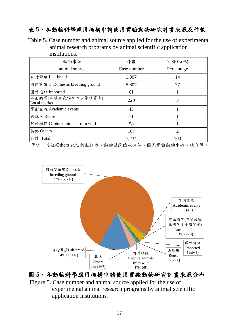# 表 **5**、各動物科學應用機構申請使用實驗動物研究計畫來源及件數

Table 5. Case number and animal source applied for the use of experimental animal research programs by animal scientific application institutions.

| 動物來源                               | 件數          | 百分比(%)         |
|------------------------------------|-------------|----------------|
| animal source                      | Case number | Percentage     |
| 自行繁殖 Lab-breed                     | 1,007       | 14             |
| 國內繁殖場 Domestic breeding ground     | 5,607       | 77             |
| 國外進口 Imported                      | 61          |                |
| 市面購買(市場或寵物店等少量購買者)<br>Local market | 220         | 3              |
| 學術交流 Academic events               | 43          |                |
| 再應用 Reuse                          | 71          |                |
| 野外捕捉 Capture animals from wild     | 58          |                |
| 其他 Others                          | 167         | $\overline{2}$ |
| 合計 Total                           | 7,234       | 100            |

備註:其他/Others 包括飼主飼養、動物醫院臨床病例、國家實驗動物中心、收容等。



### 圖 **5**、各動物科學應用機構申請使用實驗動物研究計畫來源分布

Figure 5. Case number and animal source applied for the use of experimental animal research programs by animal scientific application institutions.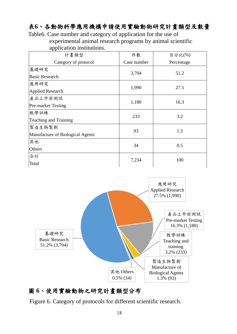### 表**6**、各動物科學應用機構申請使用實驗動物研究計畫類型及數量

Table6. Case number and category of application for the use of experimental animal research programs by animal scientific application institutions.

| 計畫類型                             | 件數          | 百分比(%)     |  |  |
|----------------------------------|-------------|------------|--|--|
| Category of protocol             | Case number | Percentage |  |  |
| 基礎研究                             |             |            |  |  |
| <b>Basic Research</b>            | 3,704       | 51.2       |  |  |
| 應用研究                             | 1,990       | 27.5       |  |  |
| <b>Applied Research</b>          |             |            |  |  |
| 產品上市前測試                          | 1,180       | 16.3       |  |  |
| <b>Pre-market Testing</b>        |             |            |  |  |
| 教學訓練                             | 233         | 3.2        |  |  |
| <b>Teaching and Training</b>     |             |            |  |  |
| 製造生物製劑                           | 93          | 1.3        |  |  |
| Manufacture of Biological Agents |             |            |  |  |
| 其他                               | 34          | 0.5        |  |  |
| Others                           |             |            |  |  |
| 合計                               | 7,234       | 100        |  |  |
| Total                            |             |            |  |  |



# 圖 **6**、使用實驗動物之研究計畫類型分布

Figure 6. Category of protocols for different scientific research.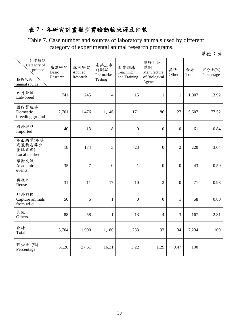# 表 **7**、各研究計畫類型實驗動物來源及件數

Table 7. Case number and sources of laboratory animals used by different category of experimental animal research programs.

單位:件

| 計畫類型<br>Category of<br>protocol<br>動物來源<br>animal source | 基礎研究<br><b>Basic</b><br>Research | 應用研究<br>Applied<br>Research | 產品上市<br>前測試<br>Pre-market<br>Testing | 教學訓練<br>Teaching<br>and Training | 製造生物<br>製劑<br>Manufacture<br>of Biological<br>Agents | 其他<br>Others     | 合計<br>Total | 百分比(%)<br>Percentage |
|----------------------------------------------------------|----------------------------------|-----------------------------|--------------------------------------|----------------------------------|------------------------------------------------------|------------------|-------------|----------------------|
| 自行繁殖<br>Lab-breed                                        | 741                              | 245                         | $\overline{4}$                       | 15                               | $\mathbf{1}$                                         | $\mathbf{1}$     | 1,007       | 13.92                |
| 國內繁殖場<br>Domestic<br>breeding ground                     | 2,701                            | 1,476                       | 1,146                                | 171                              | 86                                                   | 27               | 5,607       | 77.52                |
| 國外進口<br>Imported                                         | 40                               | 13                          | 8                                    | $\boldsymbol{0}$                 | $\overline{0}$                                       | $\overline{0}$   | 61          | 0.84                 |
| 市面購買(市場<br>或寵物店等少<br>量購買者)<br>Local market               | 18                               | 174                         | 3                                    | 23                               | $\boldsymbol{0}$                                     | $\overline{2}$   | 220         | 3.04                 |
| 學術交流<br>Academic<br>events                               | 35                               | $\overline{7}$              | $\overline{0}$                       | $\mathbf{1}$                     | $\overline{0}$                                       | $\mathbf{0}$     | 43          | 0.59                 |
| 再應用<br>Reuse                                             | 31                               | 11                          | 17                                   | 10                               | $\overline{2}$                                       | $\boldsymbol{0}$ | 71          | 0.98                 |
| 野外捕捉<br>Capture animals<br>from wild                     | 50                               | 6                           | $\mathbf{1}$                         | $\boldsymbol{0}$                 | $\overline{0}$                                       | $\mathbf{1}$     | 58          | 0.80                 |
| 其他<br>Others                                             | 88                               | 58                          | $\mathbf{1}$                         | 13                               | $\overline{4}$                                       | 3                | 167         | 2.31                 |
| 合計<br>Total                                              | 3,704                            | 1,990                       | 1,180                                | 233                              | 93                                                   | 34               | 7,234       | 100                  |
| 百分比(%)<br>Percentage                                     | 51.20                            | 27.51                       | 16.31                                | 3.22                             | 1.29                                                 | 0.47             | 100         |                      |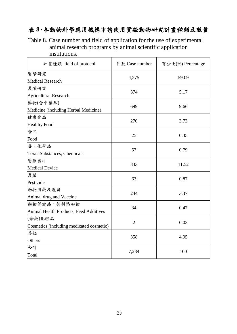# 表 **8**、各動物科學應用機構申請使用實驗動物研究計畫種類及數量

Table 8. Case number and field of application for the use of experimental animal research programs by animal scientific application institutions.

| 計畫種類 field of protocol                   | 件數 Case number | 百分比(%) Percentage |  |  |
|------------------------------------------|----------------|-------------------|--|--|
| 醫學研究                                     |                | 59.09             |  |  |
| <b>Medical Research</b>                  | 4,275          |                   |  |  |
| 農業研究                                     | 374            | 5.17              |  |  |
| <b>Agricultural Research</b>             |                |                   |  |  |
| 藥物(含中藥草)                                 | 699            | 9.66              |  |  |
| Medicine (including Herbal Medicine)     |                |                   |  |  |
| 健康食品                                     | 270            | 3.73              |  |  |
| <b>Healthy Food</b>                      |                |                   |  |  |
| 食品                                       | 25             | 0.35              |  |  |
| Food                                     |                |                   |  |  |
| 毒、化學品                                    | 57             | 0.79              |  |  |
| Toxic Substances, Chemicals              |                |                   |  |  |
| 醫療器材                                     | 833            | 11.52             |  |  |
| <b>Medical Device</b>                    |                |                   |  |  |
| 農藥                                       | 63             | 0.87              |  |  |
| Pesticide                                |                |                   |  |  |
| 動物用藥及疫苗                                  | 244            | 3.37              |  |  |
| Animal drug and Vaccine                  |                |                   |  |  |
| 動物保健品、飼料添加物                              | 34             | 0.47              |  |  |
| Animal Health Products, Feed Additives   |                |                   |  |  |
| (含藥)化粧品                                  | $\overline{2}$ | 0.03              |  |  |
| Cosmetics (including medicated cosmetic) |                |                   |  |  |
| 其他                                       | 358            | 4.95              |  |  |
| Others                                   |                |                   |  |  |
| 合計                                       | 7,234          | 100               |  |  |
| Total                                    |                |                   |  |  |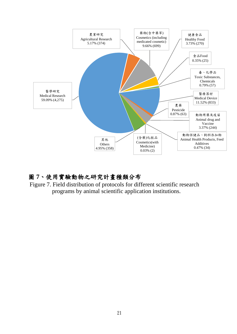

# 圖 **7**、使用實驗動物之研究計畫種類分布

Figure 7. Field distribution of protocols for different scientific research programs by animal scientific application institutions.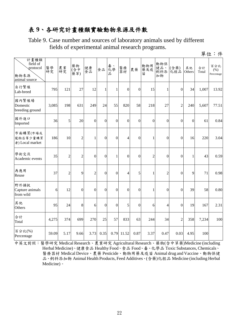### 表 **9**、各研究計畫種類實驗動物來源及件數

Table 9. Case number and sources of laboratory animals used by different fields of experimental animal research programs.

單位:件

| 計畫種類<br>field of<br>protocol<br>動物來源<br>animal source | 醫學究   | 農業究            | 藥物<br>(含草)       | 健康<br>食品       | 食品               | 毒、<br>化學<br>品    | 醫療<br>器材       | 農藥               | 動物用<br>藥及疫<br>苗 | 動物保<br>健品、<br>飼料添<br>加物 | (含藥)<br>化粧品      | 其他<br>Others   | 合計<br>Total | 百分比<br>(% )<br>Percentage |
|-------------------------------------------------------|-------|----------------|------------------|----------------|------------------|------------------|----------------|------------------|-----------------|-------------------------|------------------|----------------|-------------|---------------------------|
| 自行繁殖<br>Lab-breed                                     | 795   | 121            | 27               | 12             | 1                | 1                | $\overline{0}$ | $\boldsymbol{0}$ | 15              | 1                       | $\overline{0}$   | 34             | 1,007       | 13.92                     |
| 國內繁殖場<br>Domestic<br>breeding ground                  | 3,085 | 198            | 631              | 249            | 24               | 55               | 820            | 58               | 218             | 27                      | $\overline{2}$   | 240            | 5,607       | 77.51                     |
| 國外進口<br>Imported                                      | 36    | 5              | 20               | $\mathbf{0}$   | $\mathbf{0}$     | $\overline{0}$   | $\overline{0}$ | $\overline{0}$   | $\theta$        | $\overline{0}$          | $\overline{0}$   | $\overline{0}$ | 61          | 0.84                      |
| 市面購買(市場或<br>寵物店等少量購買<br>者) Local market               | 186   | 10             | $\overline{c}$   | 1              | $\boldsymbol{0}$ | $\overline{0}$   | $\overline{4}$ | $\boldsymbol{0}$ | $\mathbf{1}$    | $\overline{0}$          | $\overline{0}$   | 16             | 220         | 3.04                      |
| 學術交流<br>Academic events                               | 35    | $\overline{c}$ | $\overline{c}$   | $\mathbf{0}$   | $\mathbf{0}$     | $\mathbf{1}$     | $\overline{0}$ | $\overline{0}$   | $\overline{2}$  | $\overline{0}$          | $\boldsymbol{0}$ | $\mathbf{1}$   | 43          | 0.59                      |
| 再應用<br>Reuse                                          | 37    | $\overline{c}$ | 9                | $\overline{2}$ | $\mathbf{0}$     | $\overline{0}$   | $\overline{4}$ | 5                | 1               | $\overline{2}$          | $\overline{0}$   | 9              | 71          | 0.98                      |
| 野外捕捉<br>Capture animals<br>from wild                  | 6     | 12             | $\boldsymbol{0}$ | $\mathbf{0}$   | $\boldsymbol{0}$ | $\boldsymbol{0}$ | $\mathbf{0}$   | $\boldsymbol{0}$ | 1               | $\mathbf{0}$            | $\boldsymbol{0}$ | 39             | 58          | 0.80                      |
| 其他<br>Others                                          | 95    | 24             | 8                | 6              | $\mathbf{0}$     | $\boldsymbol{0}$ | 5              | $\boldsymbol{0}$ | 6               | 4                       | $\boldsymbol{0}$ | 19             | 167         | 2.31                      |
| 合計<br>Total                                           | 4,275 | 374            | 699              | 270            | 25               | 57               | 833            | 63               | 244             | 34                      | $\overline{c}$   | 358            | 7,234       | 100                       |
| 百分比(%)<br>Percentage                                  | 59.09 | 5.17           | 9.66             | 3.73           | 0.35             | 0.79             | 11.52          | 0.87             | 3.37            | 0.47                    | 0.03             | 4.95           | 100         |                           |

中英文對照:醫學研究 Medical Research、農業研究 Agricultural Research、藥物(含中草藥)Medicine (including Herbal Medicine)、健康食品 Healthy Food、食品 Food、毒、化學品 Toxic Substances, Chemicals、 醫療器材 Medical Device、農藥 Pesticide、動物用藥及疫苗 Animal drug and Vaccine、動物保健 品、飼料添加物 Animal Health Products, Feed Additives、(含藥)化粧品 Medicine (including Herbal Medicine)。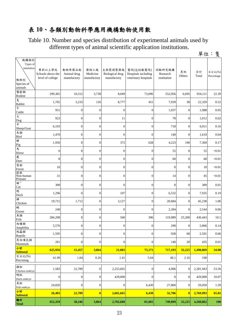# 表 **10**、各類別動物科學應用機構動物使用數

Table 10. Number and species distribution of experimental animals used by different types of animal scientific application institutions. 單位:隻

| 機構類別<br>Types of<br>institution<br>動物別<br>Species of<br>animals | 專科以上學校<br>Schools above the<br>level of college | 動物用藥品廠<br>Animal drug<br>manufactory | 藥物工廠<br>Medicine<br>manufactory | 生物製劑製藥廠<br><b>Biological drug</b><br>manufactory | 醫院(包括獸醫院)<br>Hospitals including<br>veterinary hospitals | 試驗研究機構<br>Research<br>institution | 其他<br>Others     | 合計<br>Total | 百分比(%)<br>Percentage |
|-----------------------------------------------------------------|-------------------------------------------------|--------------------------------------|---------------------------------|--------------------------------------------------|----------------------------------------------------------|-----------------------------------|------------------|-------------|----------------------|
| 囓齒類                                                             | 299,365                                         | 10,512                               | 3,738                           | 8,049                                            | 73,696                                                   | 552,056                           | 6,695            | 954,111     | 22.39                |
| Rodent<br>兔                                                     |                                                 |                                      |                                 |                                                  |                                                          |                                   |                  |             |                      |
| Rabbit                                                          | 1,765                                           | 3,233                                | 126                             | 8,777                                            | 451                                                      | 7,939                             | 38               | 22,329      | 0.52                 |
| #<br>Cattle                                                     | 951                                             | $\mathbf{0}$                         | $\boldsymbol{0}$                | $\boldsymbol{0}$                                 | $\boldsymbol{0}$                                         | 1,037                             | $\boldsymbol{0}$ | 1,988       | 0.05                 |
| 犬<br>Dog                                                        | 923                                             | $\theta$                             | $\mathbf{0}$                    | 11                                               | $\boldsymbol{0}$                                         | 78                                | $\overline{0}$   | 1,012       | 0.02                 |
| 羊<br>Sheep/Goat                                                 | 6,193                                           | $\theta$                             | $\mathbf{0}$                    | $\mathbf{0}$                                     | $\mathbf{0}$                                             | 718                               | $\theta$         | 6,911       | 0.16                 |
| 鳥類<br>Bird                                                      | 1,470                                           | $\overline{0}$                       | $\mathbf{0}$                    | $\overline{0}$                                   | $\mathbf{0}$                                             | 140                               | $\overline{0}$   | 1,610       | 0.04                 |
| 豬<br>Pig                                                        | 1,950                                           | $\mathbf{0}$                         | $\boldsymbol{0}$                | 372                                              | 628                                                      | 4,223                             | 196              | 7,369       | 0.17                 |
| 馬<br>Horse                                                      | $\boldsymbol{0}$                                | $\mathbf{0}$                         | $\boldsymbol{0}$                | $\mathbf{0}$                                     | $\mathbf{0}$                                             | 55                                | $\mathbf{0}$     | 55          | < 0.01               |
| 鹿<br>Deer                                                       | 8                                               | $\theta$                             | $\boldsymbol{0}$                | $\mathbf{0}$                                     | $\mathbf{0}$                                             | 60                                | $\overline{0}$   | 68          | < 0.01               |
| 雪貂<br>Ferret                                                    | 10                                              | $\mathbf{0}$                         | $\boldsymbol{0}$                | $\mathbf{0}$                                     | $\mathbf{0}$                                             | $\boldsymbol{0}$                  | 0                | 10          | < 0.01               |
| 猿猴<br>Non-human<br>Primate                                      | 31                                              | $\theta$                             | $\boldsymbol{0}$                | $\mathbf{0}$                                     | $\mathbf{0}$                                             | 14                                | $\overline{0}$   | 45          | < 0.01               |
| 貓 <sup>C</sup>                                                  | 309                                             | $\theta$                             | $\mathbf{0}$                    | $\overline{0}$                                   | $\boldsymbol{0}$                                         | $\mathbf{0}$                      | $\theta$         | 309         | 0.01                 |
| Cat<br>鴨                                                        | 1,296                                           | $\theta$                             | $\mathbf{0}$                    | 107                                              | $\mathbf{0}$                                             | 6,532                             | $\theta$         | 7,935       | 0.19                 |
| Duck<br>雞                                                       | 19,715                                          | 1,712                                | $\boldsymbol{0}$                | 3,127                                            | $\mathbf{0}$                                             | 20,684                            | $\theta$         | 45,238      | 1.06                 |
| Chicken<br>鵝                                                    | 240                                             | $\mathbf{0}$                         | $\boldsymbol{0}$                | $\boldsymbol{0}$                                 | $\mathbf{0}$                                             | 2,304                             | $\overline{0}$   | 2,544       | 0.06                 |
| Goose<br>魚類                                                     |                                                 |                                      |                                 |                                                  |                                                          |                                   |                  |             |                      |
| Fish<br>兩棲類                                                     | 284,298                                         | $\mathbf{0}$                         | $\boldsymbol{0}$                | 560                                              | 396                                                      | 119,989                           | 25,200           | 430,443     | 10.1                 |
| Amphibia                                                        | 5,576                                           | $\theta$                             | $\boldsymbol{0}$                | $\mathbf{0}$                                     | $\mathbf{0}$                                             | 290                               | $\overline{0}$   | 5,866       | 0.14                 |
| 爬蟲類<br>Reptile                                                  | 1,595                                           | $\mathbf{0}$                         | $\boldsymbol{0}$                | $\mathbf{0}$                                     | $\boldsymbol{0}$                                         | 928                               | 68               | 2,591       | 0.06                 |
| 其他哺乳類<br>Mammals                                                | 261                                             | $\mathbf{0}$                         | $\mathbf{0}$                    | $\boldsymbol{0}$                                 | $\boldsymbol{0}$                                         | 146                               | 28               | 435         | 0.01                 |
| 小計<br>Subtotal                                                  | 625,956                                         | 15,457                               | 3,864                           | 21,003                                           | 75,171                                                   | 717,193                           | 32,225           | 1,490,869   | 34.98                |
| 百分比(%)<br>Percentag                                             | 41.99                                           | 1.04                                 | 0.26                            | 1.41                                             | 5.04                                                     | 48.1                              | 2.16             | 100         |                      |
| 雞胚                                                              |                                                 |                                      |                                 |                                                  |                                                          |                                   |                  |             |                      |
| Chicken embryo                                                  | 1,583                                           | 22,789                               | $\mathbf{0}$                    | 2,252,665                                        | $\boldsymbol{0}$                                         | 4,906                             | $\overline{0}$   | 2,281,943   | 53.56                |
| 鴨胚<br>Duck embryo                                               | $\boldsymbol{0}$                                | $\boldsymbol{0}$                     | $\boldsymbol{0}$                | 429,000                                          | $\mathbf{0}$                                             | $\boldsymbol{0}$                  | $\mathbf{0}$     | 429,000     | 10.07                |
| 魚胚<br>Fish embryo                                               | 24,820                                          | $\mathbf{0}$                         | $\boldsymbol{0}$                | $\boldsymbol{0}$                                 | 6,430                                                    | 27,800                            | 0                | 59,050      | 1.39                 |
| 小計<br><mark>Subtotal</mark>                                     | 26,403                                          | 22,789                               | $\boldsymbol{0}$                | 2,681,665                                        | 6,430                                                    | 32,706                            | $\bf{0}$         | 2,769,993   | 65.02                |
| 總計<br>Total                                                     | 652,359                                         | 38,246                               | 3,864                           | 2,702,668                                        | 81,601                                                   | 749,899                           | 32,225           | 4,260,862   | <b>100</b>           |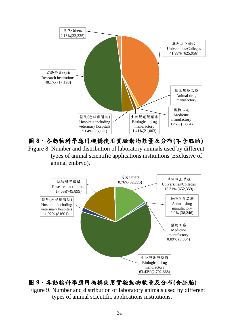

- 圖 **8**、各動物科學應用機構使用實驗動物數量及分布**(**不含胚胎**)**
- Figure 8. Number and distribution of laboratory animals used by different types of animal scientific applications institutions (Exclusive of animal embryo).



# 圖 **9**、各動物科學應用機構使用實驗動物數量及分布**(**含胚胎**)**

Figure 9. Number and distribution of laboratory animals used by different types of animal scientific applications institutions.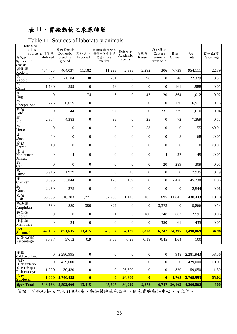# 表 **11**、實驗動物之來源種類

### Table 11. Sources of laboratory animals.

| 動物來源<br>animal<br>source<br>動物別<br>Species of<br>animals | 自行繁殖<br>Lab-breed | 國內繁殖場<br>Domestic<br>breeding<br>ground | 國外進口<br>Imported        | 市面購買(市場或<br>寵物店等少量購<br>買者) Local<br>market | 學術交流<br>Academic<br>events | 再應用<br>Reuse     | 野外捕捉<br>Capture<br>animals<br>from wild | 其他<br>Others     | 合計<br>Total | 百分比(%)<br>Percentage |
|----------------------------------------------------------|-------------------|-----------------------------------------|-------------------------|--------------------------------------------|----------------------------|------------------|-----------------------------------------|------------------|-------------|----------------------|
| 囓齒類<br>Rodent                                            | 454,425           | 464,037                                 | 11,182                  | 11,295                                     | 2,835                      | 2,292            | 306                                     | 7,739            | 954,111     | 22.39                |
| 兔<br>Rabbit                                              | 704               | 21,184                                  | 38                      | 261                                        | $\mathbf{0}$               | 96               | $\mathbf{0}$                            | 46               | 22,329      | 0.52                 |
| 牛<br>Cattle                                              | 1,180             | 599                                     | $\boldsymbol{0}$        | 48                                         | $\boldsymbol{0}$           | $\mathbf{0}$     | $\mathbf{0}$                            | 161              | 1,988       | 0.05                 |
| 天<br>Dog                                                 | $\mathbf{0}$      | 1                                       | 74                      | 6                                          | $\mathbf{0}$               | 47               | 20                                      | 864              | 1,012       | 0.02                 |
| 羊<br>Sheep/Goat                                          | 726               | 6,059                                   | $\boldsymbol{0}$        | $\boldsymbol{0}$                           | $\boldsymbol{0}$           | $\boldsymbol{0}$ | $\mathbf{0}$                            | 126              | 6,911       | 0.16                 |
| 鳥類<br>Bird                                               | 909               | 144                                     | $\overline{0}$          | 97                                         | $\boldsymbol{0}$           | $\overline{0}$   | 231                                     | 229              | 1,610       | 0.04                 |
| 豬<br>Pig                                                 | 2,854             | 4,383                                   | $\overline{0}$          | 35                                         | $\boldsymbol{0}$           | 25               | $\mathbf{0}$                            | 72               | 7,369       | 0.17                 |
| 馬<br>Horse                                               | $\boldsymbol{0}$  | $\overline{0}$                          | $\overline{0}$          | $\boldsymbol{0}$                           | $\overline{c}$             | 53               | $\mathbf{0}$                            | $\boldsymbol{0}$ | 55          | < 0.01               |
| 鹿<br>Deer                                                | 60                | $\boldsymbol{0}$                        | $\boldsymbol{0}$        | $\boldsymbol{0}$                           | $\boldsymbol{0}$           | $\boldsymbol{0}$ | $\boldsymbol{0}$                        | $8\,$            | 68          | < 0.01               |
| 雪貂<br>Ferret                                             | 10                | $\mathbf{0}$                            | $\boldsymbol{0}$        | $\boldsymbol{0}$                           | $\boldsymbol{0}$           | $\mathbf{0}$     | $\boldsymbol{0}$                        | $\overline{0}$   | 10          | < 0.01               |
| 猿猴<br>Non-human<br>Primate                               | $\overline{0}$    | 14                                      | 0                       | $\mathbf{0}$                               | $\boldsymbol{0}$           | $\theta$         | 4                                       | 27               | 45          | < 0.01               |
| 貓<br>Cat                                                 | $\boldsymbol{0}$  | $\mathbf{0}$                            | $\boldsymbol{0}$        | $\boldsymbol{0}$                           | $\mathbf{0}$               | $\boldsymbol{0}$ | 20                                      | 289              | 309         | 0.01                 |
| 鴨<br>Duck                                                | 5,916             | 1,979                                   | $\overline{0}$          | $\boldsymbol{0}$                           | 40                         | $\mathbf{0}$     | $\mathbf{0}$                            | $\overline{0}$   | 7,935       | 0.19                 |
| 雞<br>Chicken                                             | 8,695             | 33,844                                  | $\overline{0}$          | 120                                        | 109                        | $\mathbf{0}$     | $\overline{0}$                          | 2,470            | 45,238      | 1.06                 |
| 鵝<br>Goose                                               | 2,269             | 275                                     | $\overline{0}$          | $\mathbf{0}$                               | $\mathbf{0}$               | $\overline{0}$   | $\overline{0}$                          | $\mathbf{0}$     | 2,544       | $0.06\,$             |
| 魚類<br>Fish                                               | 63,855            | 318,203                                 | 1,771                   | 32,950                                     | 1,143                      | 185              | 695                                     | 11,641           | 430,443     | 10.10                |
| 兩棲類<br>Amphibia                                          | 560               | 889                                     | 350                     | 694                                        | $\boldsymbol{0}$           | $\boldsymbol{0}$ | 3,373                                   | $\mathbf{0}$     | 5,866       | 0.14                 |
| 爬蟲類<br>Reptile                                           | $\overline{0}$    | $\theta$                                | $\overline{0}$          | 1                                          | $\boldsymbol{0}$           | 180              | 1,748                                   | 662              | 2,591       | 0.06                 |
| 哺乳類<br>Mammals                                           | $\boldsymbol{0}$  | 24                                      | $\boldsymbol{0}$        | $\boldsymbol{0}$                           | $\boldsymbol{0}$           | $\boldsymbol{0}$ | 350                                     | 61               | 435         | 0.01                 |
| 小計<br><b>Subtotal</b>                                    | 542,163           | 851,635                                 | 13,415                  | 45,507                                     | 4,129                      | 2,878            | 6,747                                   | 24,395           | 1,490,869   | 34.98                |
| 百分比(%)<br>Percentage                                     | 36.37             | 57.12                                   | 0.9                     | 3.05                                       | 0.28                       | 0.19             | 0.45                                    | 1.64             | 100         |                      |
| 雞胚                                                       |                   |                                         |                         |                                            |                            |                  |                                         |                  |             |                      |
| Chicken embryo<br>鴨胚                                     | $\theta$          | 2,280,995                               | $\overline{0}$          | $\boldsymbol{0}$                           | $\boldsymbol{0}$           | $\boldsymbol{0}$ | $\overline{0}$                          | 948              | 2,281,943   | 53.56                |
| Duck embryo                                              | 0                 | 429,000                                 | $\boldsymbol{0}$        | $\overline{0}$                             | $\boldsymbol{0}$           | $\boldsymbol{0}$ | $\overline{0}$                          | $\overline{0}$   | 429,000     | 10.07                |
| 魚胚(魚卵)<br>Fish embryo                                    | 1,000             | 30,430                                  | $\mathbf{0}$            | $\boldsymbol{0}$                           | 26,800                     | $\boldsymbol{0}$ | $\overline{0}$                          | 820              | 59,050      | 1.39                 |
| 小計<br><b>Subtotal</b>                                    | 1,000             | 2,740,425                               | $\overline{\mathbf{0}}$ | $\bf{0}$                                   | 26,800                     | $\bf{0}$         | $\bf{0}$                                | 1,768            | 2,769,993   | 65.02                |
| 總計 Total                                                 | 543,163           | 3,592,060                               | 13,415                  | 45,507                                     | 30,929                     | 2,878            | 6,747                                   | 26,163           | 4,260,862   | 100                  |

**有註:其他/Others 包括飼主飼養、動物醫院臨床病例、國家實驗動物中心、收容等。**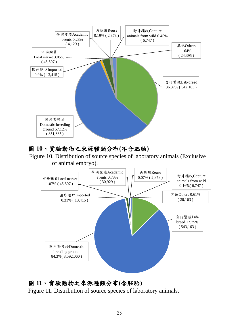

# 圖 **10**、實驗動物之來源種類分布**(**不含胚胎**)**

Figure 10. Distribution of source species of laboratory animals (Exclusive of animal embryo).



# 圖 **11**、實驗動物之來源種類分布**(**含胚胎**)**

Figure 11. Distribution of source species of laboratory animals.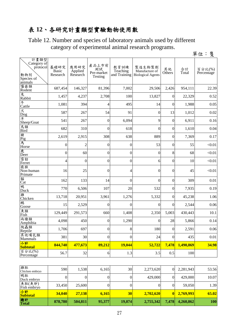# 表 **12**、各研究計畫類型實驗動物使用數

Table 12. Number and species of laboratory animals used by different category of experimental animal research programs.

|                                                                 |                                  |                             |                                      |                                  |                                                      |                  |             | 單位:隻                 |
|-----------------------------------------------------------------|----------------------------------|-----------------------------|--------------------------------------|----------------------------------|------------------------------------------------------|------------------|-------------|----------------------|
| 計畫類型<br>Category of<br>protocol<br>動物別<br>Species of<br>animals | 基礎研究<br><b>Basic</b><br>Research | 應用研究<br>Applied<br>Research | 產品上市前<br>測試<br>Pre-market<br>Testing | 教育訓練<br>Teaching<br>and Training | 製造生物製劑<br>Manufacture of<br><b>Biological Agents</b> | 其他<br>Others     | 合計<br>Total | 百分比(%)<br>Percentage |
| 囓齒類<br>Rodent                                                   | 687,454                          | 146,327                     | 81,396                               | 7,002                            | 29,506                                               | 2,426            | 954,111     | 22.39                |
| 兔<br>Rabbit                                                     | 1,457                            | 4,237                       | 2,708                                | 100                              | 13,827                                               | $\mathbf{0}$     | 22,329      | 0.52                 |
| $+$<br>Cattle                                                   | 1,081                            | 394                         | 4                                    | 495                              | 14                                                   | $\boldsymbol{0}$ | 1,988       | 0.05                 |
| 犬<br>Dog                                                        | 587                              | 267                         | 54                                   | 91                               | $\theta$                                             | 13               | 1,012       | 0.02                 |
| 羊<br>Sheep/Goat                                                 | 541                              | 267                         | $\theta$                             | 6,094                            | 9                                                    | $\boldsymbol{0}$ | 6,911       | 0.16                 |
| 鳥類<br>Bird                                                      | 682                              | 310                         | $\overline{0}$                       | 618                              | $\overline{0}$                                       | $\boldsymbol{0}$ | 1,610       | 0.04                 |
| 豬<br>Pig                                                        | 2,619                            | 2,915                       | 308                                  | 638                              | 889                                                  | $\overline{0}$   | 7,369       | 0.17                 |
| 馬<br>Horse                                                      | $\boldsymbol{0}$                 | $\overline{c}$              | 0                                    | $\boldsymbol{0}$                 | 53                                                   | $\boldsymbol{0}$ | 55          | < 0.01               |
| 鹿<br>Deer                                                       | $\mathbf{0}$                     | 60                          | $\overline{0}$                       | $\overline{0}$                   | $\mathbf{0}$                                         | 8                | 68          | < 0.01               |
| 雪貂<br>Ferret                                                    | 4                                | $\overline{0}$              | 0                                    | $\boldsymbol{0}$                 | 6                                                    | $\boldsymbol{0}$ | 10          | < 0.01               |
| 猿猴<br>Non-human<br>Primate                                      | 16                               | 25                          | $\theta$                             | 4                                | $\theta$                                             | $\boldsymbol{0}$ | 45          | < 0.01               |
| 貓<br>Cat                                                        | 162                              | 133                         | 14                                   | $\boldsymbol{0}$                 | $\theta$                                             | $\mathbf{0}$     | 309         | 0.01                 |
| 鴨<br>Duck                                                       | 770                              | 6,506                       | 107                                  | 20                               | 532                                                  | $\overline{0}$   | 7,935       | 0.19                 |
| 雞<br>Chicken                                                    | 13,718                           | 20,951                      | 3,961                                | 1,276                            | 5,332                                                | $\boldsymbol{0}$ | 45,238      | 1.06                 |
| 鵝<br>Goose                                                      | 15                               | 2,529                       | $\overline{0}$                       | 0                                | $\theta$                                             | $\boldsymbol{0}$ | 2,544       | 0.06                 |
| 魚類<br>Fish                                                      | 129,449                          | 291,573                     | 660                                  | 1,408                            | 2,350                                                | 5,003            | 430,443     | 10.1                 |
| 兩棲類<br>Amphibia                                                 | 4,098                            | 450                         | 0                                    | 1,290                            | $\Omega$                                             | 28               | 5,866       | 0.14                 |
| 爬蟲類<br>Reptile                                                  | 1,706                            | 697                         | $\boldsymbol{0}$                     | $8\,$                            | 180                                                  | $\boldsymbol{0}$ | 2,591       | 0.06                 |
| 其他哺乳類<br>Mammals                                                | 381                              | 30                          | $\overline{0}$                       | $\boldsymbol{0}$                 | 24                                                   | $\boldsymbol{0}$ | 435         | 0.01                 |
| 小計<br><b>Subtotal</b>                                           | 844,740                          | 477,673                     | 89,212                               | 19,044                           | 52,722                                               | 7,478            | 1,490,869   | 34.98                |
| 百分比(%)<br>Percentage                                            | 56.7                             | 32                          | 6                                    | 1.3                              | 3.5                                                  | 0.5              | 100         |                      |
|                                                                 |                                  |                             |                                      |                                  |                                                      |                  |             |                      |
| 雞胚<br>Chicken embryo                                            | 590                              | 1,538                       | 6,165                                | 30                               | 2,273,620                                            | $\overline{0}$   | 2,281,943   | 53.56                |
| 鴨胚<br>Duck embryo                                               | 0                                | $\boldsymbol{0}$            | $\boldsymbol{0}$                     | $\boldsymbol{0}$                 | 429,000                                              | $\boldsymbol{0}$ | 429,000     | 10.07                |
| 魚胚(魚卵)<br>Fish embryo                                           | 33,450                           | 25,600                      | $\boldsymbol{0}$                     | $\boldsymbol{0}$                 | $\theta$                                             | $\overline{0}$   | 59,050      | 1.39                 |
| 小計<br><b>Subtotal</b>                                           | 34,040                           | 27,138                      | 6,165                                | 30                               | 2,702,620                                            | $\boldsymbol{0}$ | 2,769,993   | 65.02                |
| 總計<br><b>Total</b>                                              | 878,780                          | 504,811                     | 95,377                               | 19,074                           | 2,755,342                                            | 7,478            | 4,260,862   | <b>100</b>           |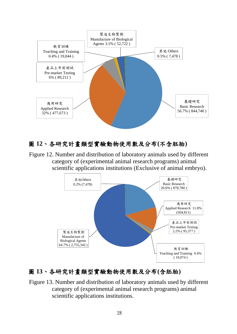

### 圖 **12**、各研究計畫類型實驗動物使用數及分布**(**不含胚胎**)**

Figure 12. Number and distribution of laboratory animals used by different category of (experimental animal research programs) animal scientific applications institutions (Exclusive of animal embryo).



# 圖 **13**、各研究計畫類型實驗動物使用數及分布**(**含胚胎**)**

Figure 13. Number and distribution of laboratory animals used by different category of (experimental animal research programs) animal scientific applications institutions.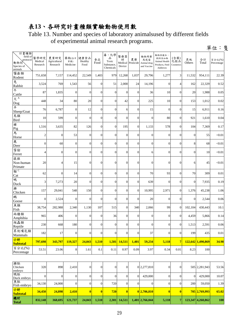### 表**13**、各研究計畫種類實驗動物使用數

Table 13. Number and species of laboratory animalsused by different fields of experimental animal research programs.

|                                                              |                             |                                  |                          |                         |                |                                               |                    |                         |                                           |                                                                 |                          |                |                   | 單位:隻                 |
|--------------------------------------------------------------|-----------------------------|----------------------------------|--------------------------|-------------------------|----------------|-----------------------------------------------|--------------------|-------------------------|-------------------------------------------|-----------------------------------------------------------------|--------------------------|----------------|-------------------|----------------------|
| 計畫種類<br>field of<br>protocol<br>動物別<br>Species of<br>animals | 醫學研究<br>Medical<br>Research | 農業研究<br>Agricultural<br>Research | 藥物(含中<br>草藥)<br>Medicine | 健康食品<br>Healthy<br>Food | 食品<br>Food     | 毒、化學<br>品<br>Toxic<br>Substance.<br>Chemicals | 醫療器<br>材<br>Device | 農藥<br>Medical Pesticide | 動物用藥<br>及疫苗<br>Animal drug<br>and Vaccine | 動物保健品、<br>飼料添加物<br>Animal Health<br>Products, Feed<br>Additives | (含藥)<br>化粧品<br>Cosmetics | 其他<br>Others   | 合計<br>Total       | 百分比(%)<br>Percentage |
| 囓齒類<br>Rodent                                                | 751,658                     | 7,157                            | 114,452                  | 22,549                  | 1,403          | 979                                           | 12,268             | 1,037                   | 29,796                                    | 1,277                                                           | $\overline{\mathbf{3}}$  | 11,532         | 954,111           | 22.39                |
| 兔<br>Rabbit                                                  | 3,524                       | 769                              | 1,543                    | 56                      | $\mathbf{0}$   | 51                                            | 2,000              | 24                      | 14,196                                    | $\boldsymbol{0}$                                                | 4                        | 162            | 22,329            | 0.52                 |
| $\overline{\overline{a}}$<br>Cattle                          | 87                          | 1,835                            | $\mathbf{0}$             | $\mathbf{0}$            | $\mathbf{0}$   | $\theta$                                      | $\mathbf{0}$       | $\boldsymbol{0}$        | 36                                        | 10                                                              | $\boldsymbol{0}$         | 20             | 1,988             | 0.05                 |
| 犬 <sup>A</sup><br>Dog                                        | 448                         | 34                               | 80                       | 20                      | $\mathbf{0}$   | $\overline{0}$                                | 42                 | $\boldsymbol{0}$        | 225                                       | 10                                                              | $\overline{0}$           | 153            | 1,012             | 0.02                 |
| 羊<br>Sheep/Goat                                              | 76                          | 6,787                            | $\boldsymbol{0}$         | 12                      | $\mathbf{0}$   | $\overline{0}$                                | 6                  | $\boldsymbol{0}$        | 15                                        | $\boldsymbol{0}$                                                | $\mathbf{0}$             | 15             | 6,911             | 0.16                 |
| 鳥類<br><b>Bird</b>                                            | 10                          | 599                              | $\boldsymbol{0}$         | $\overline{0}$          | $\mathbf{0}$   | $\mathbf{0}$                                  | $\boldsymbol{0}$   | $\boldsymbol{0}$        | $\overline{0}$                            | 80                                                              | $\overline{0}$           | 921            | 1,610             | 0.04                 |
| 豬<br>Pig                                                     | 1,516                       | 3,635                            | 82                       | 126                     | $\mathbf{0}$   | $\overline{0}$                                | 195                | $\mathbf{0}$            | 1,133                                     | 578                                                             | $\overline{0}$           | 104            | 7,369             | 0.17                 |
| 馬<br>Horse                                                   | $\overline{c}$              | $\mathbf{0}$                     | 53                       | $\Omega$                | $\mathbf{0}$   | $\theta$                                      | $\overline{0}$     | $\mathbf{0}$            | $\overline{0}$                            | $\mathbf{0}$                                                    | $\overline{0}$           | $\Omega$       | 55                | < 0.01               |
| 鹿<br>Deer                                                    | $\boldsymbol{0}$            | 60                               | $\boldsymbol{0}$         | $\boldsymbol{0}$        | $\theta$       | $\overline{0}$                                | $\boldsymbol{0}$   | $\boldsymbol{0}$        | $\mathbf{0}$                              | $\boldsymbol{0}$                                                | $\overline{0}$           | 8              | 68                | < 0.01               |
| 雪貂<br>Ferret                                                 | 4                           | $\boldsymbol{0}$                 | $\boldsymbol{0}$         | $\overline{0}$          | $\mathbf{0}$   | $\overline{0}$                                | $\overline{0}$     | $\boldsymbol{0}$        | 6                                         | $\mathbf{0}$                                                    | $\overline{0}$           | $\mathbf{0}$   | 10                | < 0.01               |
| 猿猴<br>Non-human<br>Primate                                   | 20                          | 4                                | 15                       | $\overline{0}$          | $\overline{0}$ | $\overline{0}$                                | 0                  | $\boldsymbol{0}$        | $\mathbf{0}$                              | $\boldsymbol{0}$                                                | $\overline{0}$           | 6              | 45                | < 0.01               |
| 貓 <sup>C</sup><br>Cat                                        | 62                          | $\mathbf{0}$                     | 14                       | $\overline{0}$          | $\overline{0}$ | $\theta$                                      | $\overline{0}$     | $\boldsymbol{0}$        | 70                                        | 93                                                              | $\boldsymbol{0}$         | 70             | 309               | 0.01                 |
| 鴨<br>Duck                                                    | 3                           | 7,273                            | 20                       | $\overline{0}$          | $\mathbf{0}$   | $\overline{0}$                                | $\boldsymbol{0}$   | $\boldsymbol{0}$        | 639                                       | $\mathbf{0}$                                                    | $\overline{0}$           | $\mathbf{0}$   | 7,935             | 0.19                 |
| 雞<br>Chicken                                                 | 157                         | 29,041                           | 548                      | 150                     | $\mathbf{0}$   | $\overline{0}$                                | $\boldsymbol{0}$   | $\mathbf{0}$            | 10,995                                    | 2,971                                                           | $\mathbf{0}$             | 1,376          | 45,238            | 1.06                 |
| 鵝<br>Goose                                                   | $\mathbf{0}$                | 2,524                            | $\boldsymbol{0}$         | $\overline{0}$          | $\theta$       | $\theta$                                      | $\boldsymbol{0}$   | $\mathbf{0}$            | 20                                        | $\mathbf{0}$                                                    | $\overline{0}$           | $\Omega$       | 2,544             | 0.06                 |
| 魚類<br>Fish                                                   | 38,754                      | 282,988                          | 2,340                    | 1,130                   | 107            | 515                                           | $\boldsymbol{0}$   | 340                     | 2,066                                     | 99                                                              | $\overline{0}$           | 102,104        | 430,443           | 10.1                 |
| 兩棲類<br>Amphibia                                              | 965                         | 406                              | $\mathbf{0}$             | $\Omega$                | $\theta$       | 36                                            | $\boldsymbol{0}$   | $\boldsymbol{0}$        | $\overline{0}$                            | $\mathbf{0}$                                                    | $\overline{0}$           | 4,459          | 5,866             | 0.14                 |
| 爬蟲類<br>Reptile                                               | 230                         | 668                              | 180                      | $\overline{0}$          | $\mathbf{0}$   | $\overline{0}$                                | $\overline{0}$     | $\mathbf{0}$            | $\overline{0}$                            | $\mathbf{0}$                                                    | $\overline{0}$           | 1,513          | 2,591             | 0.06                 |
| 其他哺乳類<br>Mammals                                             | 182                         | 17                               | $\boldsymbol{0}$         | $\overline{0}$          | $\mathbf{0}$   | $\overline{0}$                                | $\overline{0}$     | $\boldsymbol{0}$        | 37                                        | $\boldsymbol{0}$                                                | $\overline{0}$           | 199            | 435               | 0.01                 |
| 小計<br><b>Subtotal</b>                                        | 797,698                     | 343,797                          | 119,327                  | 24,043                  | 1,510          | 1,581                                         | 14,511             | 1,401                   | 59,234                                    | 5,118                                                           | 7 <sup>1</sup>           |                | 122.642 1.490.869 | 34.98                |
| 百分比(%)<br>Percentage                                         | 53.51                       | 23.06                            | 8                        | 1.61                    | 0.1            | 0.11                                          | 0.97               | 0.09                    | 3.97                                      | 0.34                                                            | 0.01                     | 8.23           | 100               |                      |
|                                                              |                             |                                  |                          |                         |                |                                               |                    |                         |                                           |                                                                 |                          |                |                   |                      |
| 雞胚<br>Chicken<br>embryo                                      | 320                         | 898                              | 2,410                    | $\mathbf{0}$            | $\mathbf{0}$   | $\mathbf{0}$                                  | $\boldsymbol{0}$   |                         | 0 2,277,810                               | $\boldsymbol{0}$                                                | $\overline{0}$           |                | 505 2,281,943     | 53.56                |
| 鴨胚<br>Duck embryo<br>魚胚                                      | $\boldsymbol{0}$            | $\boldsymbol{0}$                 | $\boldsymbol{0}$         | $\boldsymbol{0}$        | $\mathbf{0}$   | $\mathbf{0}$                                  | $\overline{0}$     | $\mathbf{0}$            | 429,000                                   | $\boldsymbol{0}$                                                | $\overline{0}$           | $\overline{0}$ | 429,000           | 10.07                |
| Fish embryo<br>小計                                            | 34,130                      | 24,000                           | $\boldsymbol{0}$         | $\overline{0}$          | $\mathbf{0}$   | 720                                           | $\overline{0}$     | $\mathbf{0}$            | $\mathbf{0}$                              | $\boldsymbol{0}$                                                | $\overline{0}$           | 200            | 59,050            | 1.39                 |
| <b>Subtotal</b>                                              | 34,450                      | 24,898                           | 2,410                    | $\bf{0}$                | $\bf{0}$       | 720                                           | $\bf{0}$           |                         | 0 2,706,810                               | $\bf{0}$                                                        | $\bf{0}$                 |                | 705 2,769,993     | 65.02                |
| 總計<br><b>Total</b>                                           | 832,148                     | 368,695                          | 121,737                  | 24,043                  | 1,510          | 2,301                                         | 14,511             |                         | 1,401 2,766,044                           | 5,118                                                           | $\overline{7}$           |                | 123,347 4,260,862 | 100                  |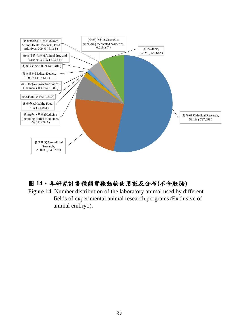

# 圖 **14**、各研究計畫種類實驗動物使用數及分布**(**不含胚胎**)**

Figure 14. Number distribution of the laboratory animal used by different fields of experimental animal research programs (Exclusive of animal embryo).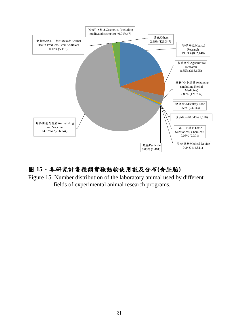

### 圖 **15**、各研究計畫種類實驗動物使用數及分布**(**含胚胎**)**

Figure 15. Number distribution of the laboratory animal used by different fields of experimental animal research programs.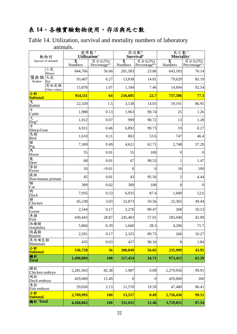# 表 **14**、各種實驗動物使用、存活與死亡數

### Table 14. Utilization, survival and mortality numbers of laboratory animals.

|                              | 動物別                  | Utilization <sup>a</sup> | 使用數 <sup>。</sup>                    |                     | 存活數<br><b>Survival</b> <sup>b</sup> | 死亡數。<br>Mortality <sup>c</sup> |                                     |
|------------------------------|----------------------|--------------------------|-------------------------------------|---------------------|-------------------------------------|--------------------------------|-------------------------------------|
|                              | Species of animals   | 隻<br>Numbers             | 百分比(%)<br>Percentage <sup>a/t</sup> | 隻<br><b>Numbers</b> | 百分比(%)<br>Percentage <sup>b/a</sup> | 隻<br>Numbers                   | 百分比(%)<br>Percentage <sup>c/a</sup> |
|                              | 小鼠<br>Mouse          | 844,766                  | 56.66                               | 201,583             | 23.86                               | 643,183                        | 76.14                               |
| 囓齒類<br>Rodent                | 大鼠<br>Rat            | 93,467                   | 6.27                                | 13,838              | 14.81                               | 79,629                         | 85.19                               |
|                              | 其他鼠類<br>Other rodent | 15,878                   | 1.07                                | 1,184               | 7.46                                | 14,694                         | 92.54                               |
| 小計<br><b>Subtotal</b>        |                      | 954,111                  | 64                                  | 216,605             | 22.7                                | 737,506                        | 77.3                                |
| 兔<br>Rabbit                  |                      | 22,329                   | 1.5                                 | 3,138               | 14.05                               | 19,191                         | 86.95                               |
| 牛<br>Cattle                  |                      | 1,988                    | 0.13                                | 1,963               | 98.74                               | 25                             | 1.26                                |
| $K$ Dog <sup>A</sup>         |                      | 1,012                    | 0.07                                | 999                 | 98.72                               | 13                             | 1.28                                |
| 羊<br>Sheep/Goat              |                      | 6,911                    | 0.46                                | 6,892               | 99.73                               | 19                             | 0.27                                |
| 鳥類<br><b>Bird</b>            |                      | 1,610                    | 0.11                                | 863                 | 53.6                                | 747                            | 46.4                                |
| 豬<br>Pig                     |                      | 7,369                    | 0.49                                | 4,621               | 62.71                               | 2,748                          | 37.29                               |
| 馬<br>Horse                   |                      | 55                       | 0.01                                | 55                  | 100                                 | $\boldsymbol{0}$               | $\overline{0}$                      |
| 鹿<br>Deer                    |                      | 68                       | 0.01                                | 67                  | 98.53                               | $\mathbf{1}$                   | 1.47                                |
| 雪貂<br>Ferret                 |                      | 10                       | < 0.01                              | $\boldsymbol{0}$    | $\mathbf{0}$                        | 10                             | 100                                 |
| 猿猴                           | Non-human primate    | 45                       | 0.01                                | 43                  | 95.56                               | $\overline{c}$                 | 4.44                                |
| 貓<br>Cat                     |                      | 309                      | 0.02                                | 309                 | 100                                 | $\boldsymbol{0}$               | $\overline{0}$                      |
| 鴨<br>Duck                    |                      | 7,935                    | 0.53                                | 6,935               | 87.4                                | 1,000                          | 12.6                                |
| 雞<br>Chicken                 |                      | 45,238                   | 3.03                                | 22,873              | 50.56                               | 22,365                         | 49.44                               |
| 鵝<br>Goose                   |                      | 2,544                    | 0.17                                | 2,276               | 89.47                               | 268                            | 10.53                               |
| 魚類<br>Fish                   |                      | 430,443                  | 28.87                               | 245,403             | 57.01                               | 185,040                        | 42.99                               |
| 兩棲類<br>Amphibia              |                      | 5,866                    | 0.39                                | 1,660               | 28.3                                | 4,206                          | 71.7                                |
| 爬蟲類<br>Reptile               |                      | 2,591                    | 0.17                                | 2,325               | 89.73                               | 266                            | 10.27                               |
| 其他哺乳類<br>Mammals             |                      | 435                      | 0.03                                | 427                 | 98.16                               | 8                              | 1.84                                |
| 小計<br><b>Subtotal</b>        |                      | 536,758                  | 36                                  | 300,849             | 56.05                               | 235,909                        | 43.95                               |
| 總計<br><b>Total</b>           |                      | 1,490,869                | <b>100</b>                          | 517,454             | 34.71                               | 973,415                        | 65.29                               |
| 雞胚                           |                      | 2,281,943                | 82.38                               | 1,987               | 0.09                                | 2,279,956                      | 99.91                               |
| Chicken embryo<br>鴨胚         |                      | 429,000                  | 15.49                               | $\boldsymbol{0}$    | $\boldsymbol{0}$                    | 429,000                        | 100                                 |
| Duck embryo<br>魚胚            |                      | 59,050                   | 2.13                                | 11,570              | 19.59                               | 47,480                         | 80.41                               |
| Fish embryo<br>小計            |                      | 2,769,993                | <b>100</b>                          | 13,557              | 0.49                                | 2,756,436                      | 99.51                               |
| <b>Subtotal</b><br>總計 'Total |                      | 4,260,862                | <b>100</b>                          | 531,011             | 12.46                               | 3,729,851                      | 87.54                               |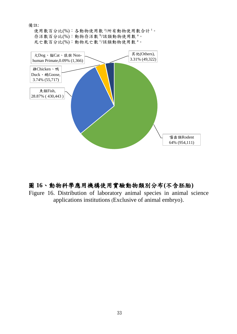#### 備註:

使用數百分比(%):各動物使用數 3/所有動物使用數合計<sup>t。</sup> 存活數百分比(%):動物存活數 <sup>b</sup>/該類動物使用數 a。 死亡數百分比(%):動物死亡數 的該類動物使用數<sup>a。</sup>



### 圖 **16**、動物科學應用機構使用實驗動物類別分布**(**不含胚胎**)**

Figure 16. Distribution of laboratory animal species in animal science applications institutions (Exclusive of animal embryo).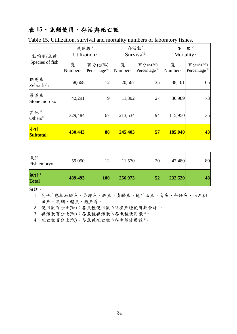# 表 **15**、魚類使用、存活與死亡數

| 動物別/魚種                      | 使用數 <sup>a</sup>    | Utilization <sup>a</sup>            | 存活數b                | Survival <sup>b</sup>               | 死亡數 <sup>。</sup><br>Mortality <sup>c</sup> |                            |  |
|-----------------------------|---------------------|-------------------------------------|---------------------|-------------------------------------|--------------------------------------------|----------------------------|--|
| Species of fish             | 隻<br><b>Numbers</b> | 百分比(%)<br>Percentage <sup>a/t</sup> | 隻<br><b>Numbers</b> | 百分比(%)<br>Percentage <sup>b/a</sup> | 隻<br><b>Numbers</b>                        | 百分比(%)<br>Percentage $c/a$ |  |
| 斑馬魚<br>Zebra fish           | 58,668              | 12                                  | 20,567              | 35                                  | 38,101                                     | 65                         |  |
| 羅漢魚<br>Stone moroko         | 42,291              | 9                                   | 11,302              | 27                                  | 30,989                                     | 73                         |  |
| 其他d<br>Others <sup>d</sup>  | 329,484             | 67                                  | 213,534             | 94                                  | 115,950                                    | 35                         |  |
| 小計<br>Subtotal <sup>t</sup> | 430,443             | 88                                  | 245,403             | 57                                  | 185,040                                    | 43                         |  |

Table 15. Utilization, survival and mortality numbers of laboratory fishes.

| 魚胚<br>Fish embryo   | 59,050  | 12  | 11,570  | 20 | 47,480  | 80 |
|---------------------|---------|-----|---------|----|---------|----|
| 總計!<br><b>Total</b> | 489,493 | 100 | 256,973 | 52 | 232,520 | 48 |

備註:

1. 其他<sup>d</sup>包括石斑魚、吳郭魚、鯉魚、青鱂魚、龍門山魚、烏魚、午仔魚、恒河稻 田魚、黑鯛、鱸魚、鰻魚等。

2. 使用數百分比(%):各魚種使用數 3/所有魚種使用數合計<sup>t。</sup>

3. 存活數百分比(%):各魚種存活數 <sup>b</sup>/各魚種使用數 a。

4. 死亡數百分比(%):各魚種死亡數 5各魚種使用數 a。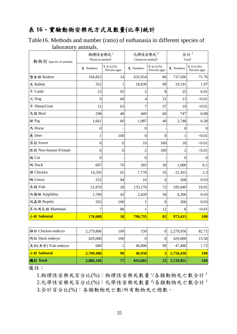### 表 **16**、實驗動物安樂死方式及數量**(**比率**)**統計

Table16. Methods and number (ratio) of euthanasia in different species of laboratory animals.

| 動物別 Species of animals | 物理性安樂死 <sup>。</sup><br>Physical method <sup>c</sup> |                        | 化學性安樂死<br>Chemical method <sup>d</sup> |                        | 合計 f<br>Totalf |                        |  |
|------------------------|-----------------------------------------------------|------------------------|----------------------------------------|------------------------|----------------|------------------------|--|
|                        | 隻 Numbers                                           | 百分比(%)<br>Percent-ages | 隻 Numbers                              | 百分比(%)<br>Percent-ages | 隻 Numbers      | 百分比(%)<br>Percent-ages |  |
| 囓齒類 Rodent             | 104,852                                             | 14                     | 632,654                                | 86                     | 737,506        | 75.76                  |  |
| 兔 Rabbit               | 352                                                 | 1                      | 18,839                                 | 99                     | 19,191         | 1.97                   |  |
| 牛 Cattle               | 23                                                  | 92                     | 2                                      | 8                      | 25             | 0.01                   |  |
| 犬 Dog                  | 9                                                   | 69                     | 4                                      | 31                     | 13             | < 0.01                 |  |
| 羊 Sheep/Goat           | 12                                                  | 63                     | 7                                      | 37                     | 19             | < 0.01                 |  |
| 鳥類 Bird                | 298                                                 | 40                     | 449                                    | 60                     | 747            | 0.08                   |  |
| 豬 Pig                  | 1,661                                               | 60                     | 1,087                                  | 40                     | 2,748          | 0.28                   |  |
| 馬 Horse                | $\boldsymbol{0}$                                    |                        | $\overline{0}$                         |                        | $\Omega$       | $\boldsymbol{0}$       |  |
| 鹿 Deer                 |                                                     | 100                    | $\overline{0}$                         | 0                      |                | < 0.01                 |  |
| 雪貂 Ferret              | $\boldsymbol{0}$                                    | $\boldsymbol{0}$       | 10                                     | 100                    | 10             | < 0.01                 |  |
| 猿猴 Non-human Primate   | $\boldsymbol{0}$                                    | $\overline{0}$         | $\overline{2}$                         | 100                    | $\overline{2}$ | < 0.01                 |  |
| 貓 Cat                  | $\theta$                                            |                        | $\theta$                               |                        | $\Omega$       | $\mathbf{0}$           |  |
| 鴨 Duck                 | 697                                                 | 70                     | 303                                    | 30                     | 1,000          | 0.1                    |  |
| 雞 Chicken              | 14,595                                              | 65                     | 7,770                                  | 35                     | 22,365         | 2.3                    |  |
| 鵝 Goose                | 252                                                 | 94                     | 16                                     | 6                      | 268            | 0.03                   |  |
| 魚類 Fish                | 51,870                                              | 28                     | 133,170                                | 72                     | 185,040        | 19.01                  |  |
| 兩棲類 Amphibia           | 1,786                                               | 42                     | 2,420                                  | 58                     | 4,206          | 0.43                   |  |
| 爬蟲類 Reptile            | 265                                                 | 100                    | 1                                      | $\overline{0}$         | 266            | 0.03                   |  |
| 其他哺乳類 Mammals          | 7                                                   | 88                     |                                        | 12                     | 8              | < 0.01                 |  |
| 小計 Subtotal            | 176,680                                             | <b>18</b>              | 796,735                                | 82                     | 973,415        | <b>100</b>             |  |

| <b>雞胚 Chicken embryo</b> | 2,279,806 | 100 | 150           |     | 2,279,956 | 82.71      |
|--------------------------|-----------|-----|---------------|-----|-----------|------------|
| 鴨胚 Duck embryo           | 429,000   | 100 |               |     | 429,000   | 15.56      |
| 魚胚(魚卵) Fish embryo       | 680       |     | 46,800        | 99  | 47.480    | 1.72       |
| <mark>小計 Subtotal</mark> | 2,709,486 | 98  | <b>46.950</b> |     | 2,756,436 | <b>100</b> |
| 總計 Total                 | 2,886,166 | 77  | 843,685       | 23I | 3,729,851 | <b>100</b> |

備註:

1.物理性安樂死百分比(%): 物理性安樂死數量 5各類動物死亡數合計  $2.$ 化學性安樂死百分比 $(%)$ : 化學性安樂死數量  $\!/\!\!\!8$ 類動物死亡數合計 3.合計百分比(%):各類動物死亡數/所有動物死亡總數。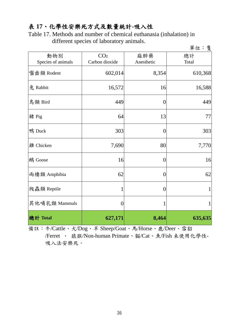### 表 **17**、化學性安樂死方式及數量統計**-**吸入性

Table 17. Methods and number of chemical euthanasia (inhalation) in different species of laboratory animals. 單位:隻

| 動物別                | CO <sub>2</sub>  | 麻醉藥              | 早仙・殳<br>總計   |
|--------------------|------------------|------------------|--------------|
| Species of animals | Carbon dioxide   | Anesthetic       | Total        |
| 囓齒類 Rodent         | 602,014          | 8,354            | 610,368      |
| 兔 Rabbit           | 16,572           | 16               | 16,588       |
| 鳥類 Bird            | 449              | $\overline{0}$   | 449          |
| 豬 Pig              | 64               | 13               | 77           |
| 鴨 Duck             | 303              | $\overline{0}$   | 303          |
| 雞 Chicken          | 7,690            | 80               | 7,770        |
| 鵝 Goose            | 16               | $\boldsymbol{0}$ | 16           |
| 兩棲類 Amphibia       | 62               | $\boldsymbol{0}$ | 62           |
| 爬蟲類 Reptile        | $\mathbf{1}$     | $\boldsymbol{0}$ | 1            |
| 其他哺乳類 Mammals      | $\boldsymbol{0}$ |                  | $\mathbf{1}$ |
| 總計 Total           | 627,171          | 8,464            | 635,635      |

備註:牛/Cattle、犬/Dog、羊 Sheep/Goat、馬/Horse、鹿/Deer、雪貂 /Ferret 、 猿猴/Non-human Primate、貓/Cat、魚/Fish 未使用化學性-吸入法安樂死。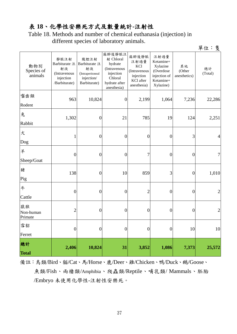### 表 **18**、化學性安樂死方式及數量統計**-**注射性

Table 18. Methods and number of chemical euthanasia (injection) in different species of laboratory animals.

|                              |                                                                           |                                                                               |                                                                                                        |                                                                                      |                                                                                      |                              | 單位:隻           |
|------------------------------|---------------------------------------------------------------------------|-------------------------------------------------------------------------------|--------------------------------------------------------------------------------------------------------|--------------------------------------------------------------------------------------|--------------------------------------------------------------------------------------|------------------------------|----------------|
| 動物別<br>Species of<br>animals | 靜脈注射<br>Barbiturate 注<br>射液<br>(Intravenous<br>injection<br>/Barbiturate) | 腹腔注射<br>Barbiturate 注<br>射液<br>(Intraperitoneal<br>injection/<br>Barbiturate) | 麻醉後靜脈注<br>射 Chloral<br>hydrate<br>(Intravenous<br>injection<br>Chloral<br>hydrate after<br>anesthesia) | 麻醉後靜脈<br>注射過量<br><b>KCl</b><br>(Intravenous<br>injection<br>KCl after<br>anesthesia) | 注射過量<br>Ketamine+<br>Xylazine<br>(Overdose<br>injection of<br>Ketamine+<br>Xylazine) | 其他<br>(Other<br>anesthetics) | 總計<br>(Total)  |
| 囓齒類<br>Rodent                | 963                                                                       | 10,824                                                                        | $\overline{0}$                                                                                         | 2,199                                                                                | 1,064                                                                                | 7,236                        | 22,286         |
| 兔<br>Rabbit                  | 1,302                                                                     | $\boldsymbol{0}$                                                              | 21                                                                                                     | 785                                                                                  | 19                                                                                   | 124                          | 2,251          |
| 犬<br>Dog                     | $\mathbf{1}$                                                              | $\boldsymbol{0}$                                                              | $\boldsymbol{0}$                                                                                       | $\boldsymbol{0}$                                                                     | $\boldsymbol{0}$                                                                     | 3                            | 4              |
| 羊<br>Sheep/Goat              | $\boldsymbol{0}$                                                          | $\boldsymbol{0}$                                                              | $\boldsymbol{0}$                                                                                       | 7                                                                                    | $\boldsymbol{0}$                                                                     | $\boldsymbol{0}$             | 7              |
| 豬<br>Pig                     | 138                                                                       | $\boldsymbol{0}$                                                              | 10                                                                                                     | 859                                                                                  | 3                                                                                    | $\boldsymbol{0}$             | 1,010          |
| 牛<br>Cattle                  | $\boldsymbol{0}$                                                          | $\boldsymbol{0}$                                                              | $\boldsymbol{0}$                                                                                       | $\overline{c}$                                                                       | $\boldsymbol{0}$                                                                     | $\boldsymbol{0}$             | $\overline{c}$ |
| 猿猴<br>Non-human<br>Primate   | $\overline{c}$                                                            | $\boldsymbol{0}$                                                              | $\boldsymbol{0}$                                                                                       | $\boldsymbol{0}$                                                                     | $\boldsymbol{0}$                                                                     | $\boldsymbol{0}$             | 2              |
| 雪貂<br>Ferret                 | $\boldsymbol{0}$                                                          | $\boldsymbol{0}$                                                              | $\boldsymbol{0}$                                                                                       | $\boldsymbol{0}$                                                                     | $\boldsymbol{0}$                                                                     | 10                           | 10             |
| 總計<br><b>Total</b>           | 2,406                                                                     | 10,824                                                                        | 31                                                                                                     | 3,852                                                                                | 1,086                                                                                | 7,373                        | 25,572         |

備註:鳥類/Bird、貓/Cat、馬/Horse、鹿/Deer、雞/Chicken、鴨/Duck、鵝/Goose、

魚類/Fish、兩棲類/Amphibia、爬蟲類/Reptile、哺乳類/ Mammals、胚胎 /Embryo 未使用化學性-注射性安樂死。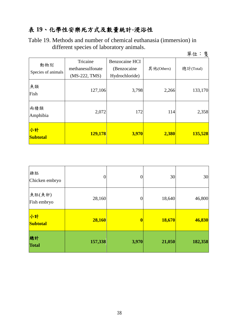# 表 **19**、化學性安樂死方式及數量統計**-**浸浴性

Table 19. Methods and number of chemical euthanasia (immersion) in different species of laboratory animals.

| 動物別<br>Species of animals | Tricaine<br>methanesulfonate<br>$(MS-222, TMS)$ | <b>Benzocaine HCI</b><br>(Benzocaine<br>Hydrochloride) | 其他(Others) | 總計(Total) |
|---------------------------|-------------------------------------------------|--------------------------------------------------------|------------|-----------|
| 魚類<br>Fish                | 127,106                                         | 3,798                                                  | 2,266      | 133,170   |
| 兩棲類<br>Amphibia           | 2,072                                           | 172                                                    | 114        | 2,358     |
| 小計<br><b>Subtotal</b>     | 129,178                                         | 3,970                                                  | 2,380      | 135,528   |

| 雞胚<br>Chicken embryo  |         | $\boldsymbol{0}$        | 30     | 30      |
|-----------------------|---------|-------------------------|--------|---------|
| 魚胚(魚卵)<br>Fish embryo | 28,160  | $\overline{0}$          | 18,640 | 46,800  |
| 小計<br><b>Subtotal</b> | 28,160  | $\overline{\mathbf{0}}$ | 18,670 | 46,830  |
| 總計<br><b>Total</b>    | 157,338 | 3,970                   | 21,050 | 182,358 |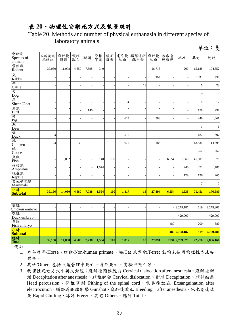### 表 **20**、物理性安樂死方式及數量統計

Table 20. Methods and number of physical euthanasia in different species of laboratory animals.

|                              |             |           |          |       |       |            |       |                     |        |            |       |        | 單位:隻            |
|------------------------------|-------------|-----------|----------|-------|-------|------------|-------|---------------------|--------|------------|-------|--------|-----------------|
| 動物別<br>Species of<br>animals | 麻醉後頸<br>椎脱臼 | 麻醉後<br>斷頭 | 頸椎<br>脫臼 | 斷頭    | 脊椎    | 頭部<br>敲擊   | 放血    | 電昏後 腦部近距 麻醉後<br>離射擊 | 放血     | 冰水急<br>速致死 | 冰凍    | 其它     | 總計              |
| 囓齒類<br>Rodent                | 39,080      | 11,078    | 4,650    | 7,598 | 340   |            |       |                     | 26,718 |            | 200   | 15,188 | 104,852         |
| 兔<br>Rabbit                  |             |           |          |       |       |            |       |                     | 203    |            |       | 149    | 352             |
| 牛<br>Cattle                  |             |           |          |       |       |            |       | 18                  |        |            |       | 5      | 23              |
| 犬<br>Dog                     |             |           |          |       |       |            |       |                     |        |            |       | 9      | 9               |
| 羊<br>Sheep/Goat              |             |           |          |       |       |            | 4     |                     |        |            |       | 8      | 12              |
|                              |             |           |          | 140   |       |            |       |                     |        |            |       | 158    | 298             |
| 5. 鳥 Bir 猪 Pig Leer          |             |           |          |       |       |            | 624   |                     | 788    |            |       | 249    | 1,661           |
|                              |             |           |          |       |       |            |       |                     |        |            |       | 1      | $\mathbf{1}$    |
| 鴨<br>Duck                    | 3           |           |          |       |       |            | 512   |                     |        |            |       | 182    | 697             |
| <b>雞</b><br>Chicken          | 73          |           | 30       |       |       |            | 677   |                     | 185    |            |       | 13,630 | 14,595          |
| 鵝<br>Goose                   |             |           |          |       |       |            |       |                     |        |            |       | 252    | 252             |
| 魚類<br>Fish                   |             | 3,002     |          |       | 140   | 100        |       |                     |        | 6,554      | 1,069 | 41,005 | 51,870          |
| 兩棲類<br>Amphibia              |             |           |          |       | 1,074 |            |       |                     |        |            | 240   | 472    | 1,786           |
| 爬蟲類<br>Reptile               |             |           |          |       |       |            |       |                     |        |            | 129   | 136    | 265             |
| 其他哺乳類<br>Mammals             |             |           |          |       |       |            |       |                     |        |            |       | 7      | $7\overline{ }$ |
| 小計<br><b>Subtotal</b>        | 39,156      | 14,080    | 4,680    | 7,738 | 1,554 | <b>100</b> | 1,817 | <b>18</b>           | 27,894 | 6,554      | 1,638 | 71,451 | 176,680         |

| 雞胚<br>Chicken embryo |        |        |       |       |       |     |       |    |        |     | $-2,279,187$   | 619        | 2,279,806 |
|----------------------|--------|--------|-------|-------|-------|-----|-------|----|--------|-----|----------------|------------|-----------|
| 鴨胚<br>Duck embryo    |        |        |       |       |       |     |       |    |        |     | 429,000        |            | 429,000   |
| 魚胚<br>Fish embryo    |        |        |       |       |       |     |       |    |        | 480 |                | 200        | 680       |
| 小計<br>Subtotal       |        |        |       |       |       |     |       |    |        |     | 480 2,708,187  | <b>819</b> | 2,709,486 |
| 總計<br>Total          | 39,156 | 14,080 | 4,680 | 7,738 | 1,554 | 100 | 1,817 | 18 | 27,894 |     | 7034 2,709,825 | 72,270     | 2,886,166 |

備註:

1. 本年度馬/Horse、猿猴/Non-human primate、貓/Cat 及雪貂/Ferret 動物未使用物理性方法安 樂死。

2. 其他/Others 包括照護管理中死亡、自然死亡、實驗中死亡等。

3. 物理性死亡方式中英文對照:麻醉後頸椎脫臼 Cervical dislocation after anesthesia、麻醉後斷 頭 Decapitation after anesthesia、頸椎脫臼 Cervical dislocation、斷頭 Decapitation、頭部敲擊 Head percussion、脊椎穿刺 Pithing of the spinal cord、電昏後放血 Exsanguination after electrocution、腦部近距離射擊 Gunshot、麻醉後放血 Bleeding after anesthesia、冰水急速致 死 Rapid Chilling、冰凍 Freeze、其它 Others、總計 Total。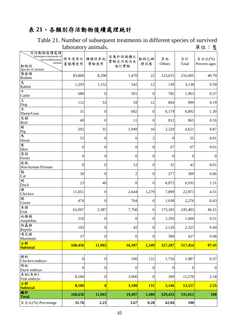# 表 **21**、各類別存活動物後續處理統計

Table 21. Number of subsequent treatments in different species of survived

| 百分比(%) Percentage                                                                      | 31.76               | 2.25             | 3.67                       | 0.28             | 62.04            | 100              |                        |
|----------------------------------------------------------------------------------------|---------------------|------------------|----------------------------|------------------|------------------|------------------|------------------------|
| 總計<br><b>Total</b>                                                                     | 168,636             | 11,965           | 19,497                     | 1,480            | 329,433          | 531,011          | <b>100</b>             |
| 小計<br><b>Subtotal</b>                                                                  | 8,180               | $\bf{0}$         | 3,100                      | 131              | 2,146            | 13,557           | 2.55                   |
| Fish embryo                                                                            | 8,180               | $\boldsymbol{0}$ | 3,000                      | $\boldsymbol{0}$ | 390              | 11,570           | 2.18                   |
| Duck embryo<br>魚胚(魚卵)                                                                  | $\boldsymbol{0}$    | $\boldsymbol{0}$ | $\boldsymbol{0}$           | $\boldsymbol{0}$ | $\boldsymbol{0}$ | $\boldsymbol{0}$ | $\boldsymbol{0}$       |
| Chicken embryo<br>鴨胚                                                                   |                     |                  |                            |                  |                  |                  |                        |
| 雞胚                                                                                     | $\boldsymbol{0}$    | $\boldsymbol{0}$ | 100                        | 131              | 1,756            | 1,987            | 0.37                   |
| 小計<br><b>Subtotal</b>                                                                  | 160,456             | 11,965           | 16,397                     | 1,349            | 327,287          | 517,454          | 97.45                  |
| Mammals                                                                                | 37                  | $\boldsymbol{0}$ | $\boldsymbol{0}$           | $\overline{0}$   | 390              | 427              | 0.08                   |
| Reptile<br>哺乳類                                                                         |                     |                  |                            |                  |                  |                  |                        |
| Amphibia<br>爬蟲類                                                                        | 163                 | $\boldsymbol{0}$ | 42                         | $\boldsymbol{0}$ | 2,120            | 2,325            | 0.44                   |
| 兩棲類                                                                                    | 310                 | $\boldsymbol{0}$ | 0                          | $\boldsymbol{0}$ | 1,350            | 1,660            | 0.31                   |
| 魚類<br>Fish                                                                             | 62,067              | 2,387            | 7,760                      | 6                | 173,183          | 245,403          | 46.21                  |
| 鵝<br>Goose                                                                             | 474                 | $\boldsymbol{0}$ | 764                        | $\boldsymbol{0}$ | 1,038            | 2,276            | 0.43                   |
| 雞<br>Chicken                                                                           | 11,051              | $\boldsymbol{0}$ | 2,644                      | 1,279            | 7,899            | 22,873           | 4.31                   |
| Duck                                                                                   | 23                  | 40               | $\overline{0}$             | $\overline{0}$   | 6,872            | 6,935            | 1.31                   |
| Cat<br>鴨                                                                               | 30                  | $\boldsymbol{0}$ | $\overline{c}$             | $\boldsymbol{0}$ | 277              | 309              | 0.06                   |
| Non-human Primate<br>貓                                                                 |                     |                  |                            |                  |                  |                  |                        |
| Ferret<br>猿猴                                                                           | $\mathbf{0}$        | $\boldsymbol{0}$ | 12                         | $\boldsymbol{0}$ | 31               | 43               | 0.01                   |
| 雪貂                                                                                     | $\boldsymbol{0}$    | $\boldsymbol{0}$ | $\boldsymbol{0}$           | $\boldsymbol{0}$ | $\boldsymbol{0}$ | $\overline{0}$   | $\theta$               |
| 鹿<br>Deer                                                                              | $\overline{0}$      | $\boldsymbol{0}$ | $\overline{0}$             | $\boldsymbol{0}$ | 67               | 67               | 0.01                   |
| Horse                                                                                  | 53                  | $\boldsymbol{0}$ | $\boldsymbol{0}$           | $\overline{c}$   | 0                | 55               | 0.01                   |
| 豬<br>Pig<br>馬                                                                          | 292                 | 35               | 1,949                      | 16               | 2,329            | 4,621            | 0.87                   |
| <b>Bird</b>                                                                            | 40                  | $\boldsymbol{0}$ | 11                         | $\boldsymbol{0}$ | 812              | 863              | 0.16                   |
| Sheep/Goat<br>鳥類                                                                       | 31                  | $\boldsymbol{0}$ | 682                        | $\boldsymbol{0}$ | 6,179            | 6,892            | 1.30                   |
| Dog<br>羊                                                                               | 112                 | 53               | 18                         | 12               | 804              |                  | 0.19                   |
| Cattle<br>大                                                                            |                     |                  |                            |                  |                  | 999              |                        |
| Rabbit<br>牛                                                                            | 680                 | $\boldsymbol{0}$ | 501                        | $\boldsymbol{0}$ | 782              | 1,963            | 0.37                   |
| 兔                                                                                      | 1,293               | 1,152            | 542                        | 12               | 139              | 3,138            | 0.59                   |
| 囓齒類<br>Rodent                                                                          | 83,800              | 8,298            | 1,470                      | 22               | 123,015          | 216,605          | 40.79                  |
| Subsequent treatments of<br>survivedlaboratory<br>animals<br>動物別<br>Species of animals | 跨年度原計<br>畫繼續使用      | 轉讓供其他<br>實驗使用    | 安養於該機構之<br>實驗室內及尚未<br>進行實驗 | 動物已辦<br>理認養      | 其他<br>Others     | 合計<br>Total      | 百分比(%)<br>Percent-ages |
| 存活動物後續處理                                                                               | laboratory animals. |                  |                            |                  |                  |                  | 單位:隻                   |
|                                                                                        |                     |                  |                            |                  |                  |                  |                        |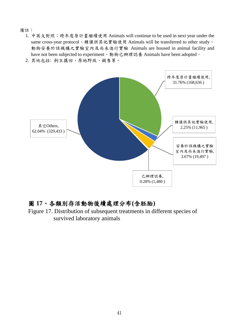備註:

1. 中英文對照:跨年度原計畫繼續使用 Animals will continue to be used in next year under the same cross-year protocol、轉讓供其他實驗使用 Animals will be transferred to other study、 動物安養於該機構之實驗室內及尚未進行實驗 Animals are housed in animal facility and have not been subjected to experiment、動物已辦理認養 Animals have been adopted。





# 圖 **17**、各類別存活動物後續處理分布**(**含胚胎**)**

Figure 17. Distribution of subsequent treatments in different species of survived laboratory animals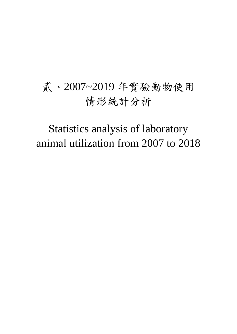# 貳、2007~2019 年實驗動物使用 情形統計分析

Statistics analysis of laboratory animal utilization from 2007 to 2018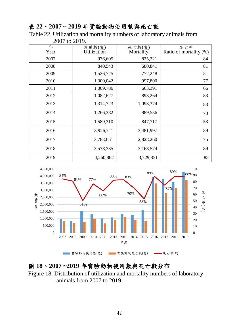### 表 **22**、**2007 ~ 2019** 年實驗動物使用數與死亡數

Table 22. Utilization and mortality numbers of laboratory animals from 2007 to 2019.

| 年<br>Year | 使用數(隻)<br>Utilization | 死亡數(隻)<br>Mortality | 死亡率<br>Ratio of mortality (%) |
|-----------|-----------------------|---------------------|-------------------------------|
| 2007      | 976,605               | 825,221             | 84                            |
| 2008      | 840,543               | 680,841             | 81                            |
| 2009      | 1,526,725             | 772,248             | 51                            |
| 2010      | 1,300,042             | 997,800             | 77                            |
| 2011      | 1,009,786             | 663,391             | 66                            |
| 2012      | 1,082,627             | 893,264             | 83                            |
| 2013      | 1,314,723             | 1,093,374           | 83                            |
| 2014      | 1,266,382             | 889,536             | 70                            |
| 2015      | 1,589,310             | 847,717             | 53                            |
| 2016      | 3,926,711             | 3,481,997           | 89                            |
| 2017      | 3,783,651             | 2,828,260           | 75                            |
| 2018      | 3,578,335             | 3,168,574           | 89                            |
| 2019      | 4,260,862             | 3,729,851           | 88                            |



### 圖 **18**、**2007 ~2019** 年實驗動物使用數與死亡數分布

Figure 18. Distribution of utilization and mortality numbers of laboratory animals from 2007 to 2019.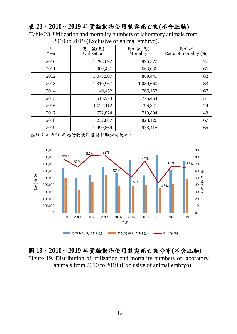### 表 **23**、**2010 ~ 2019** 年實驗動物使用數與死亡數**(**不含胚胎**)**

Table 23. Utilization and mortality numbers of laboratory animals from 2010 to 2019 (Exclusive of animal embryo).

|           | $-1$ , $\cdot$        |                     |                               |  |  |
|-----------|-----------------------|---------------------|-------------------------------|--|--|
| 年<br>Year | 使用數(隻)<br>Utilization | 死亡數(隻)<br>Mortality | 死亡率<br>Ratio of mortality (%) |  |  |
| 2010      | 1,298,692             | 996,570             | 77                            |  |  |
| 2011      | 1,009,431             | 663,036             | 66                            |  |  |
| 2012      | 1,078,507             | 889,449             | 82                            |  |  |
| 2013      | 1,310,967             | 1,089,660           | 83                            |  |  |
| 2014      | 1,140,452             | 766,153             | 67                            |  |  |
| 2015      | 1,515,973             | 776,464             | 51                            |  |  |
| 2016      | 1,071,112             | 796,341             | 74                            |  |  |
| 2017      | 1,672,824             | 719,804             | 43                            |  |  |
| 2018      | 1,232,887             | 828,126             | 67                            |  |  |
| 2019      | 1,490,869             | 973,415             | 65                            |  |  |

備註:自 2010 年起動物使用量將胚胎分開統計。



### 圖 **19**、**2010 ~ 2019** 年實驗動物使用數與死亡數分布**(**不含胚胎**)**

Figure 19. Distribution of utilization and mortality numbers of laboratory animals from 2010 to 2019 (Exclusive of animal embryo).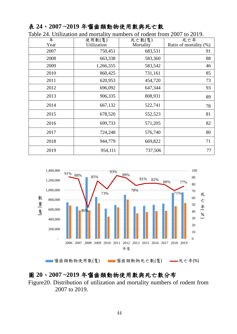### 表 **24**、**2007 ~2019** 年囓齒類動物使用數與死亡數

| $\mu_{\text{O}}$ $\mu_{\text{O}}$ $\sigma_{\text{unl}}$ and $\mu_{\text{O}}$ and $\mu_{\text{O}}$<br>$\frac{1}{2}$ |             |           |                        |  |
|--------------------------------------------------------------------------------------------------------------------|-------------|-----------|------------------------|--|
| 年                                                                                                                  | 使用數(隻)      | 死亡數(隻)    | 死亡率                    |  |
| Year                                                                                                               | Utilization | Mortality | Ratio of mortality (%) |  |
| 2007                                                                                                               | 750,451     | 683,531   | 91                     |  |
| 2008                                                                                                               | 663,338     | 583,360   | 88                     |  |
| 2009                                                                                                               | 1,266,555   | 583,542   | 46                     |  |
| 2010                                                                                                               | 860,425     | 731,161   | 85                     |  |
| 2011                                                                                                               | 620,953     | 454,720   | 73                     |  |
| 2012                                                                                                               | 696,092     | 647,344   | 93                     |  |
| 2013                                                                                                               | 906,335     | 808,931   | 89                     |  |
| 2014                                                                                                               | 667,132     | 522,741   | 78                     |  |
| 2015                                                                                                               | 678,520     | 552,523   | 81                     |  |
| 2016                                                                                                               | 699,733     | 571,205   | 82                     |  |
| 2017                                                                                                               | 724,248     | 576,740   | 80                     |  |
| 2018                                                                                                               | 944,779     | 669,822   | 71                     |  |
| 2019                                                                                                               | 954,111     | 737,506   | 77                     |  |

Table 24. Utilization and mortality numbers of rodent from 2007 to 2019.



### 圖 **20**、**2007 ~2019** 年囓齒類動物使用數與死亡數分布

Figure20. Distribution of utilization and mortality numbers of rodent from 2007 to 2019.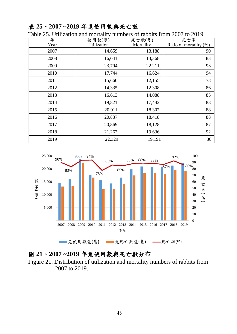### 表 **25**、**2007 ~2019** 年兔使用數與死亡數

| raore $\equiv v$ . Cambaaron and mortant;<br>$\frac{1}{2}$ |             |           |                        |  |
|------------------------------------------------------------|-------------|-----------|------------------------|--|
| 年                                                          | 使用數(隻)      | 死亡數(隻)    | 死亡率                    |  |
| Year                                                       | Utilization | Mortality | Ratio of mortality (%) |  |
| 2007                                                       | 14,659      | 13,188    | 90                     |  |
| 2008                                                       | 16,041      | 13,368    | 83                     |  |
| 2009                                                       | 23,794      | 22,211    | 93                     |  |
| 2010                                                       | 17,744      | 16,624    | 94                     |  |
| 2011                                                       | 15,660      | 12,155    | 78                     |  |
| 2012                                                       | 14,335      | 12,308    | 86                     |  |
| 2013                                                       | 16,613      | 14,088    | 85                     |  |
| 2014                                                       | 19,821      | 17,442    | 88                     |  |
| 2015                                                       | 20,911      | 18,307    | 88                     |  |
| 2016                                                       | 20,837      | 18,418    | 88                     |  |
| 2017                                                       | 20,869      | 18,128    | 87                     |  |
| 2018                                                       | 21,267      | 19,636    | 92                     |  |
| 2019                                                       | 22,329      | 19,191    | 86                     |  |

Table 25. Utilization and mortality numbers of rabbits from 2007 to 2019.



### 圖 **21**、**2007 ~2019** 年兔使用數與死亡數分布

Figure 21. Distribution of utilization and mortality numbers of rabbits from 2007 to 2019.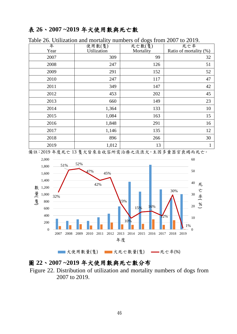### 表 **26**、**2007 ~2019** 年犬使用數與死亡數

| 年    | ັ<br>使用數(隻) | $\mathbf{\mathcal{C}}$<br>死亡數(隻) | 死亡率                    |
|------|-------------|----------------------------------|------------------------|
| Year | Utilization | Mortality                        | Ratio of mortality (%) |
| 2007 | 309         | 99                               | 32                     |
| 2008 | 247         | 126                              | 51                     |
| 2009 | 291         | 152                              | 52                     |
| 2010 | 247         | 117                              | 47                     |
| 2011 | 349         | 147                              | 42                     |
| 2012 | 453         | 202                              | 45                     |
| 2013 | 660         | 149                              | 23                     |
| 2014 | 1,364       | 133                              | 10                     |
| 2015 | 1,084       | 163                              | 15                     |
| 2016 | 1,848       | 291                              | 16                     |
| 2017 | 1,146       | 135                              | 12                     |
| 2018 | 896         | 266                              | 30                     |
| 2019 | 1,012       | 13                               | $\mathbf{1}$           |

Table 26. Utilization and mortality numbers of dogs from 2007 to 2019.

備註:2019 年度死亡 13 隻犬皆來自收容所需治療之流浪犬,主因多重器官衰竭而死亡。





### 圖 **22**、**2007 ~2019** 年犬使用數與死亡數分布

Figure 22. Distribution of utilization and mortality numbers of dogs from 2007 to 2019.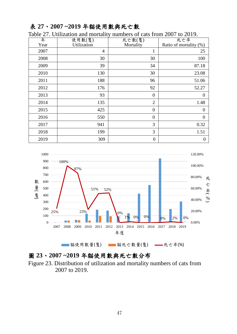### 表 **27**、**2007 ~2019** 年貓使用數與死亡數

| 年    | 使用數(隻)         | ✔<br>死亡數(隻)      | 死亡率                    |
|------|----------------|------------------|------------------------|
| Year | Utilization    | Mortality        | Ratio of mortality (%) |
| 2007 | $\overline{4}$ | $\mathbf{1}$     | 25                     |
| 2008 | 30             | 30               | 100                    |
| 2009 | 39             | 34               | 87.18                  |
| 2010 | 130            | 30               | 23.08                  |
| 2011 | 188            | 96               | 51.06                  |
| 2012 | 176            | 92               | 52.27                  |
| 2013 | 93             | $\boldsymbol{0}$ | $\boldsymbol{0}$       |
| 2014 | 135            | $\overline{2}$   | 1.48                   |
| 2015 | 425            | $\overline{0}$   | $\overline{0}$         |
| 2016 | 550            | $\overline{0}$   | $\overline{0}$         |
| 2017 | 941            | 3                | 0.32                   |
| 2018 | 199            | 3                | 1.51                   |
| 2019 | 309            | $\boldsymbol{0}$ | $\boldsymbol{0}$       |

Table 27. Utilization and mortality numbers of cats from 2007 to 2019.



# 圖 **23**、**2007 ~2019** 年貓使用數與死亡數分布

Figure 23. Distribution of utilization and mortality numbers of cats from 2007 to 2019.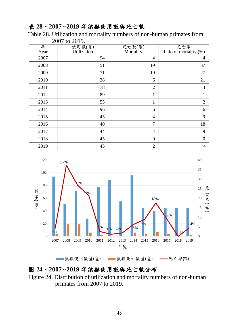### 表 **28**、**2007 ~2019** 年猿猴使用數與死亡數

Table 28. Utilization and mortality numbers of non-human primates from 2007 to 2019.

| 年    | 使用數(隻)      | 死亡數(隻)           | 死亡率                    |
|------|-------------|------------------|------------------------|
| Year | Utilization | Mortality        | Ratio of mortality (%) |
| 2007 | 94          | $\overline{4}$   | $\overline{4}$         |
| 2008 | 51          | 19               | 37                     |
| 2009 | 71          | 19               | 27                     |
| 2010 | 28          | 6                | 21                     |
| 2011 | 78          | $\overline{2}$   | 3                      |
| 2012 | 89          | $\mathbf{1}$     | $\mathbf{1}$           |
| 2013 | 55          | $\mathbf{1}$     | $\overline{2}$         |
| 2014 | 96          | 6                | 6                      |
| 2015 | 45          | $\overline{4}$   | 9                      |
| 2016 | 40          | $\overline{7}$   | 18                     |
| 2017 | 44          | $\overline{4}$   | 9                      |
| 2018 | 45          | $\boldsymbol{0}$ | $\boldsymbol{0}$       |
| 2019 | 45          | $\overline{2}$   | 4                      |





### 圖 **24**、**2007 ~2019** 年猿猴使用數與死亡數分布

Figure 24. Distribution of utilization and mortality numbers of non-human primates from 2007 to 2019.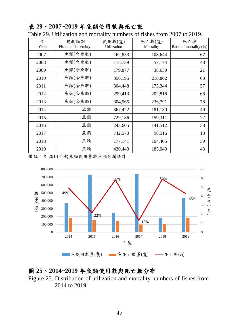|           | $\sim$ characters and the matrix | numers of mon-        |                     |                               |
|-----------|----------------------------------|-----------------------|---------------------|-------------------------------|
| 年<br>Year | 動物類別<br>Fish and fish embryo     | 使用數(隻)<br>Utilization | 死亡數(隻)<br>Mortality | 死亡率<br>Ratio of mortality (%) |
| 2007      | 魚類(含魚胚)                          | 162,853               | 108,644             | 67                            |
| 2008      | 魚類(含魚胚)                          | 118,739               | 57,174              | 48                            |
| 2009      | 魚類(含魚胚)                          | 179,877               | 38,659              | 21                            |
| 2010      | 魚類(含魚胚)                          | 350,195               | 218,862             | 63                            |
| 2011      | 魚類(含魚胚)                          | 304,448               | 173,344             | 57                            |
| 2012      | 魚類(含魚胚)                          | 299,413               | 202,818             | 68                            |
| 2013      | 魚類(含魚胚)                          | 304,965               | 236,791             | 78                            |
| 2014      | 魚類                               | 367,422               | 181,130             | 49                            |
| 2015      | 魚類                               | 729,186               | 159,311             | 22                            |
| 2016      | 魚類                               | 243,605               | 141,512             | 58                            |
| 2017      | 魚類                               | 742,570               | 98,516              | 13                            |
| 2018      | 魚類                               | 177,141               | 104,405             | 59                            |
| 2019      | 魚類                               | 430,443               | 185,040             | 43                            |

表 **29**、**2007~2019** 年魚類使用數與死亡數

Table 29. Utilization and mortality numbers of fishes from 2007 to 2019.

備註:自 2014 年起魚類使用量將魚胚分開統計。



### 圖 **25**、**2014~2019** 年魚類使用數與死亡數分布